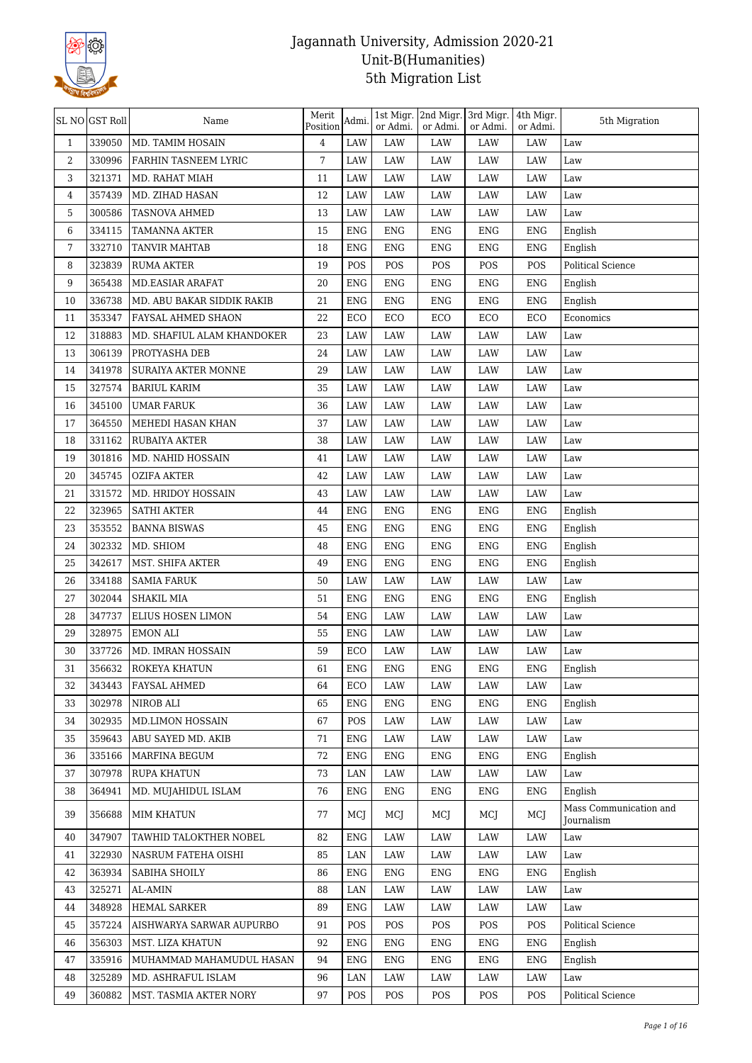

|              | SL NO GST Roll | Name                       | Merit<br>Position | Admi.      | 1st Migr.<br>or Admi. | 2nd Migr. 3rd Migr.<br>or Admi. | or Admi.   | 4th Migr.<br>or Admi. | 5th Migration                        |
|--------------|----------------|----------------------------|-------------------|------------|-----------------------|---------------------------------|------------|-----------------------|--------------------------------------|
| $\mathbf{1}$ | 339050         | MD. TAMIM HOSAIN           | $\overline{4}$    | LAW        | <b>LAW</b>            | LAW                             | LAW        | LAW                   | Law                                  |
| 2            | 330996         | FARHIN TASNEEM LYRIC       | 7                 | LAW        | LAW                   | LAW                             | LAW        | LAW                   | Law                                  |
| 3            | 321371         | MD. RAHAT MIAH             | 11                | LAW        | LAW                   | LAW                             | LAW        | LAW                   | Law                                  |
| 4            | 357439         | MD. ZIHAD HASAN            | 12                | LAW        | LAW                   | LAW                             | LAW        | LAW                   | Law                                  |
| 5            | 300586         | TASNOVA AHMED              | 13                | LAW        | LAW                   | LAW                             | LAW        | LAW                   | Law                                  |
| 6            | 334115         | <b>TAMANNA AKTER</b>       | 15                | <b>ENG</b> | ENG                   | ENG                             | <b>ENG</b> | <b>ENG</b>            | English                              |
| 7            | 332710         | <b>TANVIR MAHTAB</b>       | 18                | <b>ENG</b> | <b>ENG</b>            | <b>ENG</b>                      | <b>ENG</b> | <b>ENG</b>            | English                              |
| 8            | 323839         | <b>RUMA AKTER</b>          | 19                | POS        | POS                   | POS                             | POS        | POS                   | Political Science                    |
| 9            | 365438         | <b>MD.EASIAR ARAFAT</b>    | 20                | <b>ENG</b> | <b>ENG</b>            | <b>ENG</b>                      | <b>ENG</b> | <b>ENG</b>            | English                              |
| 10           | 336738         | MD. ABU BAKAR SIDDIK RAKIB | 21                | <b>ENG</b> | <b>ENG</b>            | <b>ENG</b>                      | <b>ENG</b> | <b>ENG</b>            | English                              |
| 11           | 353347         | FAYSAL AHMED SHAON         | 22                | ECO        | ECO                   | ECO                             | ECO        | ECO                   | Economics                            |
| 12           | 318883         | MD. SHAFIUL ALAM KHANDOKER | 23                | LAW        | LAW                   | LAW                             | LAW        | LAW                   | Law                                  |
| 13           | 306139         | PROTYASHA DEB              | 24                | LAW        | LAW                   | LAW                             | LAW        | LAW                   | Law                                  |
| 14           | 341978         | SURAIYA AKTER MONNE        | 29                | LAW        | LAW                   | LAW                             | LAW        | LAW                   | Law                                  |
| 15           | 327574         | <b>BARIUL KARIM</b>        | 35                | LAW        | LAW                   | LAW                             | LAW        | LAW                   | Law                                  |
| 16           | 345100         | <b>UMAR FARUK</b>          | 36                | LAW        | LAW                   | LAW                             | LAW        | LAW                   | Law                                  |
| 17           | 364550         | MEHEDI HASAN KHAN          | 37                | LAW        | LAW                   | LAW                             | LAW        | LAW                   | Law                                  |
| 18           | 331162         | RUBAIYA AKTER              | 38                | LAW        | LAW                   | LAW                             | LAW        | LAW                   | Law                                  |
| 19           | 301816         | MD. NAHID HOSSAIN          | 41                | LAW        | LAW                   | LAW                             | LAW        | LAW                   | Law                                  |
| 20           | 345745         | <b>OZIFA AKTER</b>         | 42                | LAW        | LAW                   | LAW                             | LAW        | LAW                   | Law                                  |
| 21           | 331572         | MD. HRIDOY HOSSAIN         | 43                | LAW        | LAW                   | LAW                             | LAW        | LAW                   | Law                                  |
| 22           | 323965         | <b>SATHI AKTER</b>         | 44                | <b>ENG</b> | <b>ENG</b>            | <b>ENG</b>                      | <b>ENG</b> | <b>ENG</b>            | English                              |
| 23           | 353552         | <b>BANNA BISWAS</b>        | 45                | <b>ENG</b> | <b>ENG</b>            | <b>ENG</b>                      | <b>ENG</b> | <b>ENG</b>            | English                              |
| 24           | 302332         | MD. SHIOM                  | 48                | <b>ENG</b> | <b>ENG</b>            | <b>ENG</b>                      | <b>ENG</b> | <b>ENG</b>            | English                              |
| 25           | 342617         | MST. SHIFA AKTER           | 49                | <b>ENG</b> | ENG                   | ENG                             | <b>ENG</b> | <b>ENG</b>            | English                              |
| 26           | 334188         | <b>SAMIA FARUK</b>         | 50                | LAW        | LAW                   | LAW                             | LAW        | LAW                   | Law                                  |
| 27           | 302044         | SHAKIL MIA                 | 51                | <b>ENG</b> | <b>ENG</b>            | ENG                             | <b>ENG</b> | <b>ENG</b>            | English                              |
| 28           | 347737         | ELIUS HOSEN LIMON          | 54                | <b>ENG</b> | LAW                   | LAW                             | LAW        | LAW                   | Law                                  |
| 29           | 328975         | <b>EMON ALI</b>            | 55                | <b>ENG</b> | LAW                   | LAW                             | LAW        | LAW                   | Law                                  |
| 30           | 337726         | MD. IMRAN HOSSAIN          | 59                | ECO        | LAW                   | LAW                             | LAW        | LAW                   | Law                                  |
| 31           | 356632         | ROKEYA KHATUN              | 61                | ENG        | ENG                   | ENG                             | ENG        | ENG                   | English                              |
| 32           | 343443         | <b>FAYSAL AHMED</b>        | 64                | ECO        | LAW                   | LAW                             | LAW        | LAW                   | Law                                  |
| 33           | 302978         | NIROB ALI                  | 65                | <b>ENG</b> | <b>ENG</b>            | ENG                             | <b>ENG</b> | ENG                   | English                              |
| 34           | 302935         | MD.LIMON HOSSAIN           | 67                | POS        | LAW                   | LAW                             | LAW        | LAW                   | Law                                  |
| 35           | 359643         | ABU SAYED MD. AKIB         | 71                | <b>ENG</b> | LAW                   | LAW                             | LAW        | LAW                   | Law                                  |
| 36           | 335166         | MARFINA BEGUM              | 72                | <b>ENG</b> | <b>ENG</b>            | <b>ENG</b>                      | <b>ENG</b> | <b>ENG</b>            | English                              |
| 37           | 307978         | <b>RUPA KHATUN</b>         | 73                | LAN        | LAW                   | LAW                             | LAW        | LAW                   | Law                                  |
| 38           | 364941         | MD. MUJAHIDUL ISLAM        | 76                | ENG        | ENG                   | ENG                             | ENG        | ENG                   | English                              |
| 39           | 356688         | <b>MIM KHATUN</b>          | 77                | MCJ        | MCJ                   | MCJ                             | MCJ        | MCJ                   | Mass Communication and<br>Journalism |
| 40           | 347907         | TAWHID TALOKTHER NOBEL     | 82                | ENG        | LAW                   | LAW                             | LAW        | LAW                   | Law                                  |
| 41           | 322930         | NASRUM FATEHA OISHI        | 85                | LAN        | LAW                   | LAW                             | LAW        | LAW                   | Law                                  |
| 42           | 363934         | SABIHA SHOILY              | 86                | ENG        | ENG                   | ENG                             | ENG        | ENG                   | English                              |
| 43           | 325271         | AL-AMIN                    | 88                | LAN        | LAW                   | LAW                             | LAW        | LAW                   | $_{\mbox{\footnotesize{Law}}}$       |
| 44           | 348928         | <b>HEMAL SARKER</b>        | 89                | <b>ENG</b> | LAW                   | LAW                             | LAW        | LAW                   | Law                                  |
| 45           | 357224         | AISHWARYA SARWAR AUPURBO   | 91                | POS        | POS                   | POS                             | POS        | POS                   | Political Science                    |
| 46           | 356303         | MST. LIZA KHATUN           | 92                | ENG        | ENG                   | ENG                             | ENG        | <b>ENG</b>            | English                              |
| 47           | 335916         | MUHAMMAD MAHAMUDUL HASAN   | 94                | <b>ENG</b> | ENG                   | <b>ENG</b>                      | <b>ENG</b> | <b>ENG</b>            | English                              |
| 48           | 325289         | MD. ASHRAFUL ISLAM         | 96                | LAN        | LAW                   | LAW                             | LAW        | LAW                   | Law                                  |
| 49           | 360882         | MST. TASMIA AKTER NORY     | 97                | POS        | POS                   | POS                             | POS        | POS                   | Political Science                    |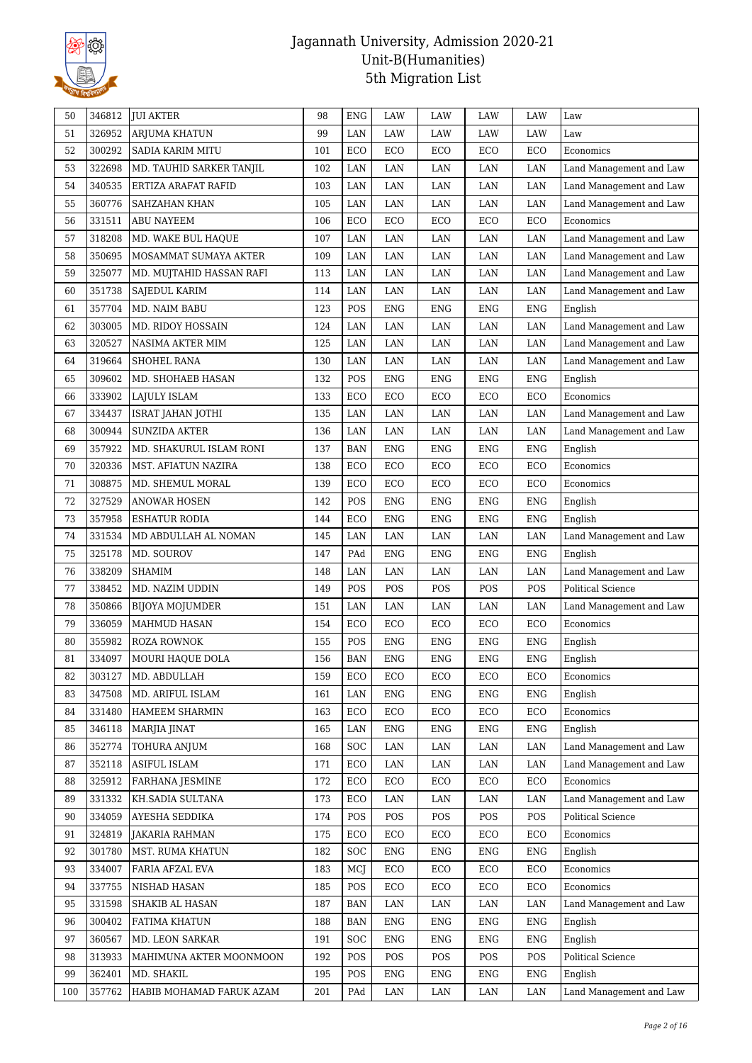

| 50  | 346812 | <b>JUI AKTER</b>         | 98  | <b>ENG</b>   | <b>LAW</b>   | LAW         | LAW        | <b>LAW</b>  | Law                     |
|-----|--------|--------------------------|-----|--------------|--------------|-------------|------------|-------------|-------------------------|
| 51  | 326952 | <b>ARJUMA KHATUN</b>     | 99  | LAN          | LAW          | LAW         | LAW        | LAW         | Law                     |
| 52  | 300292 | <b>SADIA KARIM MITU</b>  | 101 | ECO          | $_{\rm ECO}$ | ECO         | ECO        | ECO         | Economics               |
| 53  | 322698 | MD. TAUHID SARKER TANJIL | 102 | LAN          | LAN          | LAN         | LAN        | LAN         | Land Management and Law |
| 54  | 340535 | ERTIZA ARAFAT RAFID      | 103 | LAN          | LAN          | LAN         | LAN        | LAN         | Land Management and Law |
| 55  | 360776 | SAHZAHAN KHAN            | 105 | $\rm LAN$    | LAN          | LAN         | LAN        | LAN         | Land Management and Law |
| 56  | 331511 | ABU NAYEEM               | 106 | ECO          | ECO          | ECO         | ECO        | ECO         | Economics               |
| 57  | 318208 | MD. WAKE BUL HAQUE       | 107 | <b>LAN</b>   | LAN          | LAN         | LAN        | LAN         | Land Management and Law |
| 58  | 350695 | MOSAMMAT SUMAYA AKTER    | 109 | LAN          | LAN          | LAN         | LAN        | LAN         | Land Management and Law |
| 59  | 325077 | MD. MUJTAHID HASSAN RAFI | 113 | LAN          | LAN          | LAN         | LAN        | LAN         | Land Management and Law |
| 60  | 351738 | SAJEDUL KARIM            | 114 | LAN          | LAN          | LAN         | LAN        | LAN         | Land Management and Law |
| 61  | 357704 | MD. NAIM BABU            | 123 | POS          | <b>ENG</b>   | ENG         | ENG        | ${\rm ENG}$ | English                 |
| 62  | 303005 | MD. RIDOY HOSSAIN        | 124 | LAN          | LAN          | LAN         | LAN        | LAN         | Land Management and Law |
| 63  | 320527 | NASIMA AKTER MIM         | 125 | LAN          | LAN          | LAN         | LAN        | LAN         | Land Management and Law |
| 64  | 319664 | SHOHEL RANA              | 130 | LAN          | LAN          | $\rm LAN$   | LAN        | LAN         | Land Management and Law |
| 65  | 309602 | MD. SHOHAEB HASAN        | 132 | POS          | <b>ENG</b>   | <b>ENG</b>  | <b>ENG</b> | <b>ENG</b>  | English                 |
| 66  | 333902 | LAJULY ISLAM             | 133 | ECO          | ECO          | ECO         | ECO        | ECO         | Economics               |
| 67  | 334437 | <b>ISRAT JAHAN JOTHI</b> | 135 | LAN          | LAN          | LAN         | LAN        | LAN         | Land Management and Law |
| 68  | 300944 | <b>SUNZIDA AKTER</b>     | 136 | LAN          | $\rm LAN$    | LAN         | LAN        | LAN         | Land Management and Law |
| 69  | 357922 | MD. SHAKURUL ISLAM RONI  | 137 | <b>BAN</b>   | ENG          | <b>ENG</b>  | <b>ENG</b> | ${\rm ENG}$ | English                 |
| 70  | 320336 | MST. AFIATUN NAZIRA      | 138 | ECO          | ECO          | ECO         | ECO        | ECO         | Economics               |
| 71  | 308875 | MD. SHEMUL MORAL         | 139 | ECO          | ECO          | ECO         | ECO        | ECO         | Economics               |
| 72  | 327529 | <b>ANOWAR HOSEN</b>      | 142 | POS          | ENG          | <b>ENG</b>  | <b>ENG</b> | ${\rm ENG}$ | English                 |
| 73  | 357958 | <b>ESHATUR RODIA</b>     | 144 | ECO          | ENG          | ENG         | <b>ENG</b> | ${\rm ENG}$ | English                 |
| 74  | 331534 | MD ABDULLAH AL NOMAN     | 145 | $\rm LAN$    | LAN          | LAN         | LAN        | LAN         | Land Management and Law |
| 75  | 325178 | MD. SOUROV               | 147 | PAd          | ENG          | <b>ENG</b>  | <b>ENG</b> | <b>ENG</b>  | English                 |
| 76  | 338209 | <b>SHAMIM</b>            | 148 | <b>LAN</b>   | LAN          | LAN         | LAN        | LAN         | Land Management and Law |
| 77  | 338452 | MD. NAZIM UDDIN          | 149 | POS          | POS          | POS         | POS        | POS         | Political Science       |
| 78  | 350866 | BIJOYA MOJUMDER          | 151 | LAN          | LAN          | LAN         | LAN        | LAN         | Land Management and Law |
| 79  | 336059 | MAHMUD HASAN             | 154 | $_{\rm ECO}$ | ECO          | ECO         | ECO        | ECO         | Economics               |
| 80  | 355982 | ROZA ROWNOK              | 155 | POS          | <b>ENG</b>   | ${\rm ENG}$ | <b>ENG</b> | ${\rm ENG}$ | English                 |
| 81  | 334097 | MOURI HAQUE DOLA         | 156 | <b>BAN</b>   | ${\rm ENG}$  | <b>ENG</b>  | <b>ENG</b> | ${\rm ENG}$ | English                 |
| 82  | 303127 | MD. ABDULLAH             | 159 | ECO          | ECO          | ECO         | ECO        | ECO         | Economics               |
| 83  | 347508 | MD. ARIFUL ISLAM         | 161 | LAN          | ENG          | <b>ENG</b>  | <b>ENG</b> | ENG         | English                 |
| 84  | 331480 | HAMEEM SHARMIN           | 163 | ECO          | ECO          | ECO         | ECO        | ECO         | Economics               |
| 85  | 346118 | MARJIA JINAT             | 165 | LAN          | <b>ENG</b>   | ENG         | <b>ENG</b> | <b>ENG</b>  | English                 |
| 86  | 352774 | TOHURA ANJUM             | 168 | <b>SOC</b>   | LAN          | LAN         | LAN        | LAN         | Land Management and Law |
| 87  | 352118 | ASIFUL ISLAM             | 171 | ECO          | LAN          | LAN         | LAN        | LAN         | Land Management and Law |
| 88  | 325912 | FARHANA JESMINE          | 172 | ECO          | ECO          | ECO         | ECO        | ECO         | Economics               |
| 89  | 331332 | KH.SADIA SULTANA         | 173 | ECO          | LAN          | $\rm LAN$   | LAN        | LAN         | Land Management and Law |
| 90  | 334059 | AYESHA SEDDIKA           | 174 | POS          | POS          | POS         | POS        | POS         | Political Science       |
| 91  | 324819 | <b>JAKARIA RAHMAN</b>    | 175 | ECO          | ECO          | ECO         | ECO        | ECO         | Economics               |
| 92  | 301780 | MST. RUMA KHATUN         | 182 | SOC          | <b>ENG</b>   | ENG         | ENG        | <b>ENG</b>  | English                 |
| 93  | 334007 | FARIA AFZAL EVA          | 183 | MCJ          | ECO          | ECO         | ECO        | ECO         | Economics               |
| 94  | 337755 | NISHAD HASAN             | 185 | POS          | ECO          | ECO         | ECO        | ECO         | Economics               |
| 95  | 331598 | SHAKIB AL HASAN          | 187 | <b>BAN</b>   | LAN          | LAN         | LAN        | LAN         | Land Management and Law |
| 96  | 300402 | FATIMA KHATUN            | 188 | <b>BAN</b>   | ${\rm ENG}$  | ${\rm ENG}$ | ENG        | ${\rm ENG}$ | English                 |
| 97  | 360567 | MD. LEON SARKAR          | 191 | SOC          | <b>ENG</b>   | <b>ENG</b>  | <b>ENG</b> | <b>ENG</b>  | English                 |
| 98  | 313933 | MAHIMUNA AKTER MOONMOON  | 192 | POS          | POS          | POS         | POS        | POS         | Political Science       |
| 99  | 362401 | MD. SHAKIL               | 195 | POS          | <b>ENG</b>   | <b>ENG</b>  | <b>ENG</b> | <b>ENG</b>  | English                 |
| 100 | 357762 | HABIB MOHAMAD FARUK AZAM | 201 | PAd          | LAN          | LAN         | LAN        | LAN         | Land Management and Law |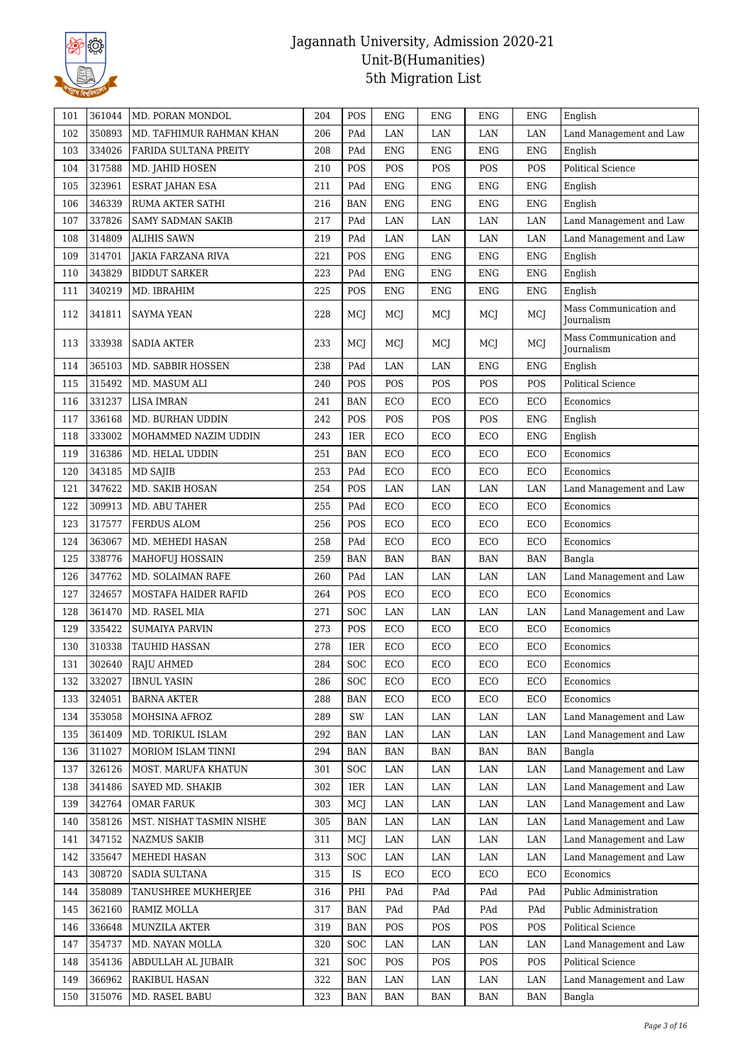

| 101 | 361044 | MD. PORAN MONDOL         | 204 | POS        | <b>ENG</b> | <b>ENG</b> | <b>ENG</b> | <b>ENG</b>  | English                                     |
|-----|--------|--------------------------|-----|------------|------------|------------|------------|-------------|---------------------------------------------|
| 102 | 350893 | MD. TAFHIMUR RAHMAN KHAN | 206 | PAd        | LAN        | LAN        | LAN        | LAN         | Land Management and Law                     |
| 103 | 334026 | FARIDA SULTANA PREITY    | 208 | PAd        | <b>ENG</b> | <b>ENG</b> | <b>ENG</b> | <b>ENG</b>  | English                                     |
| 104 | 317588 | MD. JAHID HOSEN          | 210 | POS        | POS        | POS        | POS        | POS         | <b>Political Science</b>                    |
| 105 | 323961 | <b>ESRAT JAHAN ESA</b>   | 211 | PAd        | <b>ENG</b> | <b>ENG</b> | ENG        | <b>ENG</b>  | English                                     |
| 106 | 346339 | RUMA AKTER SATHI         | 216 | <b>BAN</b> | <b>ENG</b> | <b>ENG</b> | <b>ENG</b> | <b>ENG</b>  | English                                     |
| 107 | 337826 | <b>SAMY SADMAN SAKIB</b> | 217 | PAd        | LAN        | LAN        | LAN        | LAN         | Land Management and Law                     |
| 108 | 314809 | <b>ALIHIS SAWN</b>       | 219 | PAd        | LAN        | LAN        | LAN        | $\rm LAN$   | Land Management and Law                     |
| 109 | 314701 | JAKIA FARZANA RIVA       | 221 | POS        | <b>ENG</b> | <b>ENG</b> | <b>ENG</b> | <b>ENG</b>  | English                                     |
| 110 | 343829 | <b>BIDDUT SARKER</b>     | 223 | PAd        | <b>ENG</b> | <b>ENG</b> | <b>ENG</b> | <b>ENG</b>  | English                                     |
| 111 | 340219 | MD. IBRAHIM              | 225 | POS        | <b>ENG</b> | <b>ENG</b> | <b>ENG</b> | ${\rm ENG}$ | English                                     |
| 112 | 341811 | SAYMA YEAN               | 228 | MCJ        | MCI        | MCI        | MCJ        | MCJ         | Mass Communication and<br>Journalism        |
| 113 | 333938 | <b>SADIA AKTER</b>       | 233 | MCJ        | MCI        | MCJ        | MCJ        | MCJ         | Mass Communication and<br><b>Journalism</b> |
| 114 | 365103 | MD. SABBIR HOSSEN        | 238 | PAd        | LAN        | LAN        | <b>ENG</b> | <b>ENG</b>  | English                                     |
| 115 | 315492 | MD. MASUM ALI            | 240 | POS        | POS        | POS        | POS        | POS         | <b>Political Science</b>                    |
| 116 | 331237 | <b>LISA IMRAN</b>        | 241 | <b>BAN</b> | ECO        | ECO        | ECO        | ECO         | Economics                                   |
| 117 | 336168 | MD. BURHAN UDDIN         | 242 | POS        | POS        | POS        | POS        | <b>ENG</b>  | English                                     |
| 118 | 333002 | MOHAMMED NAZIM UDDIN     | 243 | <b>IER</b> | ECO        | ECO        | ECO        | ${\rm ENG}$ | English                                     |
| 119 | 316386 | MD. HELAL UDDIN          | 251 | <b>BAN</b> | ECO        | ECO        | ECO        | ECO         | Economics                                   |
| 120 | 343185 | <b>MD SAJIB</b>          | 253 | PAd        | ECO        | ECO        | ECO        | ECO         | Economics                                   |
| 121 | 347622 | MD. SAKIB HOSAN          | 254 | POS        | LAN        | LAN        | LAN        | LAN         | Land Management and Law                     |
| 122 | 309913 | MD. ABU TAHER            | 255 | PAd        | ECO        | ECO        | ECO        | ECO         | Economics                                   |
| 123 | 317577 | FERDUS ALOM              | 256 | POS        | ECO        | ECO        | ECO        | ECO         | Economics                                   |
| 124 | 363067 | MD. MEHEDI HASAN         | 258 | PAd        | ECO        | ECO        | ECO        | ECO         | Economics                                   |
| 125 | 338776 | MAHOFUJ HOSSAIN          | 259 | <b>BAN</b> | <b>BAN</b> | <b>BAN</b> | <b>BAN</b> | <b>BAN</b>  | Bangla                                      |
| 126 | 347762 | MD. SOLAIMAN RAFE        | 260 | PAd        | $\rm LAN$  | LAN        | LAN        | $\rm LAN$   | Land Management and Law                     |
| 127 | 324657 | MOSTAFA HAIDER RAFID     | 264 | POS        | ECO        | ECO        | ECO        | ECO         | Economics                                   |
| 128 | 361470 | MD. RASEL MIA            | 271 | <b>SOC</b> | LAN        | LAN        | LAN        | LAN         | Land Management and Law                     |
| 129 | 335422 | <b>SUMAIYA PARVIN</b>    | 273 | POS        | ECO        | ECO        | ECO        | ECO         | Economics                                   |
| 130 | 310338 | TAUHID HASSAN            | 278 | <b>IER</b> | ECO        | ECO        | ECO        | ECO         | Economics                                   |
| 131 | 302640 | <b>RAJU AHMED</b>        | 284 | SOC        | ECO        | ECO        | ECO        | ECO         | Economics                                   |
| 132 | 332027 | <b>IBNUL YASIN</b>       | 286 | SOC        | ECO        | ECO        | ECO        | ECO         | Economics                                   |
| 133 | 324051 | <b>BARNA AKTER</b>       | 288 | <b>BAN</b> | ECO        | ECO        | ECO        | ECO         | Economics                                   |
| 134 | 353058 | MOHSINA AFROZ            | 289 | SW         | LAN        | LAN        | LAN        | LAN         | Land Management and Law                     |
| 135 | 361409 | MD. TORIKUL ISLAM        | 292 | BAN        | LAN        | LAN        | LAN        | LAN         | Land Management and Law                     |
| 136 | 311027 | MORIOM ISLAM TINNI       | 294 | <b>BAN</b> | BAN        | <b>BAN</b> | BAN        | <b>BAN</b>  | Bangla                                      |
| 137 | 326126 | MOST. MARUFA KHATUN      | 301 | <b>SOC</b> | LAN        | LAN        | LAN        | LAN         | Land Management and Law                     |
| 138 | 341486 | SAYED MD. SHAKIB         | 302 | <b>IER</b> | LAN        | LAN        | LAN        | $\rm LAN$   | Land Management and Law                     |
| 139 | 342764 | <b>OMAR FARUK</b>        | 303 | MCJ        | LAN        | LAN        | LAN        | LAN         | Land Management and Law                     |
| 140 | 358126 | MST. NISHAT TASMIN NISHE | 305 | <b>BAN</b> | LAN        | LAN        | LAN        | LAN         | Land Management and Law                     |
| 141 | 347152 | <b>NAZMUS SAKIB</b>      | 311 | MCJ        | LAN        | LAN        | LAN        | LAN         | Land Management and Law                     |
| 142 | 335647 | MEHEDI HASAN             | 313 | SOC        | LAN        | LAN        | LAN        | LAN         | Land Management and Law                     |
| 143 | 308720 | SADIA SULTANA            | 315 | IS         | ECO        | ECO        | ECO        | ECO         | Economics                                   |
| 144 | 358089 | TANUSHREE MUKHERJEE      | 316 | PHI        | PAd        | PAd        | PAd        | PAd         | Public Administration                       |
| 145 | 362160 | RAMIZ MOLLA              | 317 | <b>BAN</b> | PAd        | PAd        | PAd        | PAd         | Public Administration                       |
| 146 | 336648 | MUNZILA AKTER            | 319 | <b>BAN</b> | POS        | POS        | POS        | POS         | Political Science                           |
| 147 | 354737 | MD. NAYAN MOLLA          | 320 | SOC        | LAN        | LAN        | LAN        | LAN         | Land Management and Law                     |
| 148 | 354136 | ABDULLAH AL JUBAIR       | 321 | SOC        | POS        | POS        | POS        | POS         | Political Science                           |
| 149 | 366962 | RAKIBUL HASAN            | 322 | <b>BAN</b> | LAN        | LAN        | LAN        | LAN         | Land Management and Law                     |
| 150 | 315076 | MD. RASEL BABU           | 323 | <b>BAN</b> | <b>BAN</b> | <b>BAN</b> | <b>BAN</b> | <b>BAN</b>  | Bangla                                      |
|     |        |                          |     |            |            |            |            |             |                                             |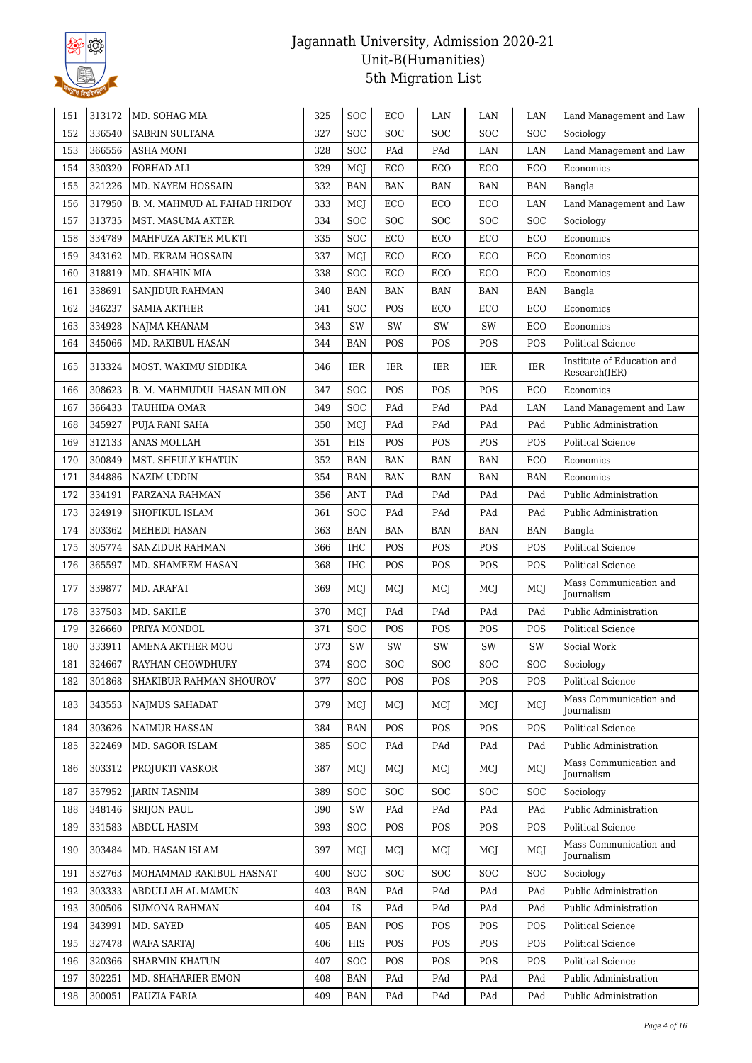

| 151 | 313172 | MD. SOHAG MIA                | 325 | <b>SOC</b> | ECO        | LAN                     | LAN        | LAN        | Land Management and Law                     |
|-----|--------|------------------------------|-----|------------|------------|-------------------------|------------|------------|---------------------------------------------|
| 152 | 336540 | <b>SABRIN SULTANA</b>        | 327 | <b>SOC</b> | <b>SOC</b> | SOC                     | SOC        | SOC        | Sociology                                   |
| 153 | 366556 | <b>ASHA MONI</b>             | 328 | <b>SOC</b> | PAd        | PAd                     | LAN        | LAN        | Land Management and Law                     |
| 154 | 330320 | FORHAD ALI                   | 329 | MCJ        | ECO        | ECO                     | ECO        | ECO        | Economics                                   |
| 155 | 321226 | MD. NAYEM HOSSAIN            | 332 | <b>BAN</b> | <b>BAN</b> | <b>BAN</b>              | <b>BAN</b> | <b>BAN</b> | Bangla                                      |
| 156 | 317950 | B. M. MAHMUD AL FAHAD HRIDOY | 333 | MCJ        | ECO        | ECO                     | ECO        | LAN        | Land Management and Law                     |
| 157 | 313735 | MST. MASUMA AKTER            | 334 | <b>SOC</b> | <b>SOC</b> | <b>SOC</b>              | SOC        | SOC        | Sociology                                   |
| 158 | 334789 | MAHFUZA AKTER MUKTI          | 335 | <b>SOC</b> | ECO        | ECO                     | ECO        | ECO        | Economics                                   |
| 159 | 343162 | MD. EKRAM HOSSAIN            | 337 | MCJ        | ECO        | ECO                     | ECO        | ECO        | Economics                                   |
| 160 | 318819 | MD. SHAHIN MIA               | 338 | <b>SOC</b> | ECO        | ECO                     | ECO        | ECO        | Economics                                   |
| 161 | 338691 | SANJIDUR RAHMAN              | 340 | <b>BAN</b> | <b>BAN</b> | <b>BAN</b>              | <b>BAN</b> | <b>BAN</b> | Bangla                                      |
| 162 | 346237 | <b>SAMIA AKTHER</b>          | 341 | SOC        | POS        | ECO                     | ECO        | ECO        | Economics                                   |
| 163 | 334928 | NAJMA KHANAM                 | 343 | SW         | SW         | SW                      | SW         | ECO        | Economics                                   |
| 164 | 345066 | MD. RAKIBUL HASAN            | 344 | <b>BAN</b> | POS        | POS                     | POS        | POS        | Political Science                           |
| 165 | 313324 | MOST. WAKIMU SIDDIKA         | 346 | IER        | IER        | IER                     | IER        | IER        | Institute of Education and<br>Research(IER) |
| 166 | 308623 | B. M. MAHMUDUL HASAN MILON   | 347 | SOC        | POS        | POS                     | POS        | ECO        | Economics                                   |
| 167 | 366433 | TAUHIDA OMAR                 | 349 | <b>SOC</b> | PAd        | PAd                     | PAd        | LAN        | Land Management and Law                     |
| 168 | 345927 | PUJA RANI SAHA               | 350 | MCJ        | PAd        | PAd                     | PAd        | PAd        | Public Administration                       |
| 169 | 312133 | ANAS MOLLAH                  | 351 | <b>HIS</b> | POS        | POS                     | POS        | POS        | <b>Political Science</b>                    |
| 170 | 300849 | MST. SHEULY KHATUN           | 352 | BAN        | <b>BAN</b> | <b>BAN</b>              | <b>BAN</b> | ECO        | Economics                                   |
| 171 | 344886 | NAZIM UDDIN                  | 354 | <b>BAN</b> | <b>BAN</b> | <b>BAN</b>              | <b>BAN</b> | <b>BAN</b> | Economics                                   |
| 172 | 334191 | FARZANA RAHMAN               | 356 | <b>ANT</b> | PAd        | PAd                     | PAd        | PAd        | Public Administration                       |
| 173 | 324919 | SHOFIKUL ISLAM               | 361 | <b>SOC</b> | PAd        | $\mathop{\mathrm{PAd}}$ | PAd        | PAd        | Public Administration                       |
| 174 | 303362 | MEHEDI HASAN                 | 363 | <b>BAN</b> | <b>BAN</b> | <b>BAN</b>              | <b>BAN</b> | BAN        | Bangla                                      |
| 175 | 305774 | <b>SANZIDUR RAHMAN</b>       | 366 | <b>IHC</b> | POS        | POS                     | POS        | POS        | <b>Political Science</b>                    |
| 176 | 365597 | MD. SHAMEEM HASAN            | 368 | IHC        | POS        | POS                     | POS        | POS        | <b>Political Science</b>                    |
| 177 | 339877 | MD. ARAFAT                   | 369 | MCJ        | MCI        | MCI                     | MCJ        | MCI        | Mass Communication and<br><b>Journalism</b> |
| 178 | 337503 | MD. SAKILE                   | 370 | MCJ        | PAd        | PAd                     | PAd        | PAd        | Public Administration                       |
| 179 | 326660 | PRIYA MONDOL                 | 371 | SOC        | POS        | POS                     | POS        | POS        | Political Science                           |
| 180 | 333911 | <b>AMENA AKTHER MOU</b>      | 373 | SW         | SW         | SW                      | SW         | SW         | Social Work                                 |
| 181 | 324667 | RAYHAN CHOWDHURY             | 374 | <b>SOC</b> | <b>SOC</b> | <b>SOC</b>              | SOC        | SOC        | Sociology                                   |
| 182 | 301868 | SHAKIBUR RAHMAN SHOUROV      | 377 | <b>SOC</b> | POS        | POS                     | POS        | POS        | Political Science                           |
| 183 | 343553 | NAJMUS SAHADAT               | 379 | MCJ        | MCJ        | MCJ                     | MCJ        | MCI        | Mass Communication and<br><b>Journalism</b> |
| 184 | 303626 | <b>NAIMUR HASSAN</b>         | 384 | <b>BAN</b> | POS        | POS                     | POS        | POS        | Political Science                           |
| 185 | 322469 | MD. SAGOR ISLAM              | 385 | <b>SOC</b> | PAd        | PAd                     | PAd        | PAd        | Public Administration                       |
| 186 | 303312 | PROJUKTI VASKOR              | 387 | MCJ        | MCJ        | MCJ                     | MCJ        | MCJ        | Mass Communication and<br><b>Journalism</b> |
| 187 | 357952 | <b>JARIN TASNIM</b>          | 389 | SOC        | <b>SOC</b> | SOC                     | SOC        | <b>SOC</b> | Sociology                                   |
| 188 | 348146 | <b>SRIJON PAUL</b>           | 390 | SW         | PAd        | PAd                     | PAd        | PAd        | Public Administration                       |
| 189 | 331583 | ABDUL HASIM                  | 393 | SOC        | POS        | POS                     | POS        | POS        | <b>Political Science</b>                    |
| 190 | 303484 | MD. HASAN ISLAM              | 397 | MCJ        | MCJ        | MCJ                     | MCJ        | MCI        | Mass Communication and<br>Journalism        |
| 191 | 332763 | MOHAMMAD RAKIBUL HASNAT      | 400 | <b>SOC</b> | <b>SOC</b> | <b>SOC</b>              | SOC        | <b>SOC</b> | Sociology                                   |
| 192 | 303333 | ABDULLAH AL MAMUN            | 403 | <b>BAN</b> | PAd        | PAd                     | PAd        | PAd        | Public Administration                       |
| 193 | 300506 | <b>SUMONA RAHMAN</b>         | 404 | <b>IS</b>  | PAd        | PAd                     | PAd        | PAd        | Public Administration                       |
| 194 | 343991 | MD. SAYED                    | 405 | <b>BAN</b> | POS        | POS                     | POS        | POS        | Political Science                           |
| 195 | 327478 | <b>WAFA SARTAJ</b>           | 406 | HIS        | POS        | POS                     | POS        | POS        | Political Science                           |
| 196 | 320366 | <b>SHARMIN KHATUN</b>        | 407 | <b>SOC</b> | POS        | POS                     | POS        | POS        | Political Science                           |
| 197 | 302251 | MD. SHAHARIER EMON           | 408 | <b>BAN</b> | PAd        | PAd                     | PAd        | PAd        | Public Administration                       |
| 198 | 300051 | <b>FAUZIA FARIA</b>          | 409 | <b>BAN</b> | PAd        | PAd                     | PAd        | PAd        | Public Administration                       |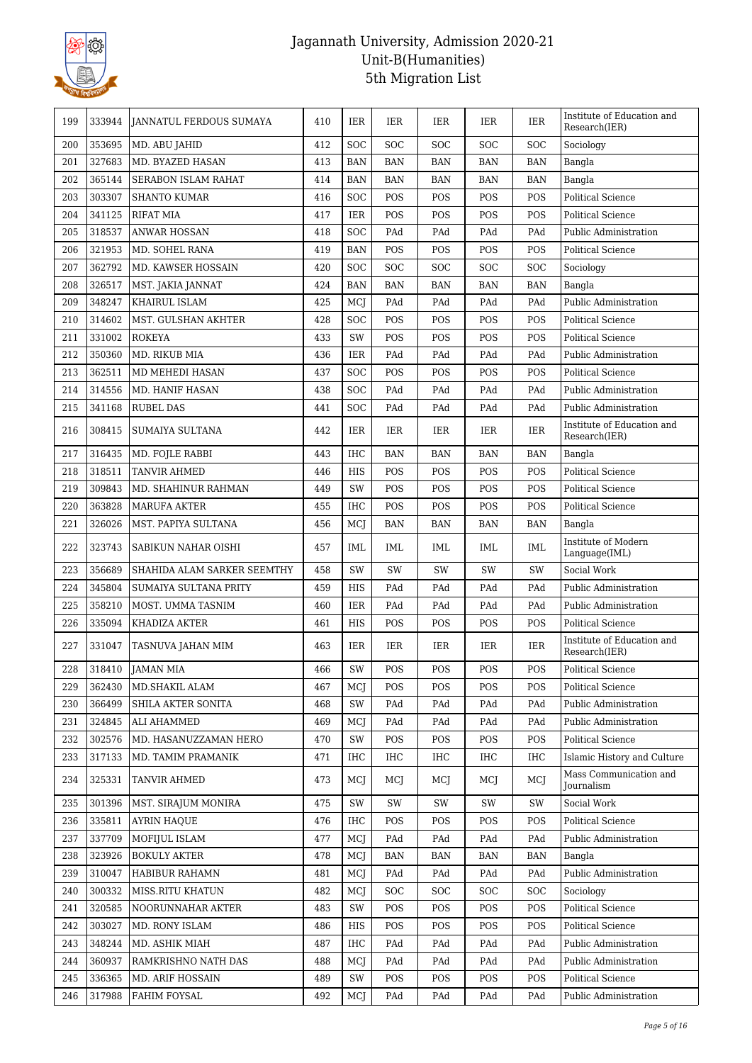

| 199 | 333944 | JANNATUL FERDOUS SUMAYA     | 410 | IER        | IER        | IER        | IER        | IER        | Institute of Education and<br>Research(IER) |
|-----|--------|-----------------------------|-----|------------|------------|------------|------------|------------|---------------------------------------------|
| 200 | 353695 | MD. ABU JAHID               | 412 | SOC        | <b>SOC</b> | <b>SOC</b> | <b>SOC</b> | <b>SOC</b> | Sociology                                   |
| 201 | 327683 | MD. BYAZED HASAN            | 413 | <b>BAN</b> | <b>BAN</b> | <b>BAN</b> | <b>BAN</b> | <b>BAN</b> | Bangla                                      |
| 202 | 365144 | SERABON ISLAM RAHAT         | 414 | <b>BAN</b> | <b>BAN</b> | BAN        | BAN        | <b>BAN</b> | Bangla                                      |
| 203 | 303307 | <b>SHANTO KUMAR</b>         | 416 | SOC        | POS        | POS        | POS        | POS        | <b>Political Science</b>                    |
| 204 | 341125 | <b>RIFAT MIA</b>            | 417 | IER        | POS        | POS        | POS        | POS        | <b>Political Science</b>                    |
| 205 | 318537 | <b>ANWAR HOSSAN</b>         | 418 | SOC        | PAd        | PAd        | PAd        | PAd        | Public Administration                       |
| 206 | 321953 | MD. SOHEL RANA              | 419 | <b>BAN</b> | POS        | POS        | POS        | POS        | <b>Political Science</b>                    |
| 207 | 362792 | MD. KAWSER HOSSAIN          | 420 | SOC        | SOC        | <b>SOC</b> | <b>SOC</b> | <b>SOC</b> | Sociology                                   |
| 208 | 326517 | MST. JAKIA JANNAT           | 424 | <b>BAN</b> | <b>BAN</b> | <b>BAN</b> | <b>BAN</b> | <b>BAN</b> | Bangla                                      |
| 209 | 348247 | KHAIRUL ISLAM               | 425 | MCJ        | PAd        | PAd        | PAd        | PAd        | Public Administration                       |
| 210 | 314602 | MST. GULSHAN AKHTER         | 428 | SOC        | POS        | POS        | POS        | POS        | Political Science                           |
| 211 | 331002 | <b>ROKEYA</b>               | 433 | SW         | POS        | POS        | POS        | POS        | <b>Political Science</b>                    |
| 212 | 350360 | MD. RIKUB MIA               | 436 | <b>IER</b> | PAd        | PAd        | PAd        | PAd        | Public Administration                       |
| 213 | 362511 | MD MEHEDI HASAN             | 437 | SOC        | POS        | POS        | POS        | POS        | Political Science                           |
| 214 | 314556 | MD. HANIF HASAN             | 438 | <b>SOC</b> | PAd        | PAd        | PAd        | PAd        | Public Administration                       |
| 215 | 341168 | <b>RUBEL DAS</b>            | 441 | SOC        | PAd        | PAd        | PAd        | PAd        | Public Administration                       |
| 216 | 308415 | SUMAIYA SULTANA             | 442 | IER        | IER        | IER        | IER        | IER        | Institute of Education and<br>Research(IER) |
| 217 | 316435 | MD. FOJLE RABBI             | 443 | <b>IHC</b> | <b>BAN</b> | <b>BAN</b> | <b>BAN</b> | <b>BAN</b> | Bangla                                      |
| 218 | 318511 | TANVIR AHMED                | 446 | <b>HIS</b> | POS        | POS        | POS        | POS        | <b>Political Science</b>                    |
| 219 | 309843 | MD. SHAHINUR RAHMAN         | 449 | SW         | POS        | POS        | POS        | POS        | Political Science                           |
| 220 | 363828 | MARUFA AKTER                | 455 | <b>IHC</b> | POS        | POS        | POS        | POS        | Political Science                           |
| 221 | 326026 | MST. PAPIYA SULTANA         | 456 | MCJ        | BAN        | BAN        | BAN        | <b>BAN</b> | Bangla                                      |
| 222 | 323743 | SABIKUN NAHAR OISHI         | 457 | IML        | IML        | IML        | IML        | IML        | Institute of Modern<br>Language(IML)        |
| 223 | 356689 | SHAHIDA ALAM SARKER SEEMTHY | 458 | SW         | SW         | SW         | SW         | SW         | Social Work                                 |
| 224 | 345804 | SUMAIYA SULTANA PRITY       | 459 | <b>HIS</b> | PAd        | PAd        | PAd        | PAd        | Public Administration                       |
| 225 | 358210 | MOST. UMMA TASNIM           | 460 | <b>IER</b> | PAd        | PAd        | PAd        | PAd        | Public Administration                       |
| 226 | 335094 | KHADIZA AKTER               | 461 | HIS        | POS        | POS        | POS        | POS        | Political Science                           |
| 227 | 331047 | TASNUVA JAHAN MIM           | 463 | <b>IER</b> | IER        | IER        | IER        | IER        | Institute of Education and<br>Research(IER) |
| 228 | 318410 | JAMAN MIA                   | 466 | SW         | POS        | POS        | POS        | POS        | Political Science                           |
| 229 | 362430 | MD.SHAKIL ALAM              | 467 | MCI        | POS        | POS        | <b>POS</b> | POS        | Political Science                           |
| 230 | 366499 | SHILA AKTER SONITA          | 468 | SW         | PAd        | PAd        | PAd        | PAd        | Public Administration                       |
| 231 | 324845 | ALI AHAMMED                 | 469 | MCJ        | PAd        | PAd        | PAd        | PAd        | Public Administration                       |
| 232 | 302576 | MD. HASANUZZAMAN HERO       | 470 | SW         | POS        | POS        | POS        | POS        | Political Science                           |
| 233 | 317133 | MD. TAMIM PRAMANIK          | 471 | IHC        | IHC        | IHC        | IHC        | IHC        | Islamic History and Culture                 |
| 234 | 325331 | TANVIR AHMED                | 473 | MCJ        | MCJ        | MCJ        | MCJ        | MCJ        | Mass Communication and<br>Journalism        |
| 235 | 301396 | MST. SIRAJUM MONIRA         | 475 | SW         | SW         | SW         | SW         | SW         | Social Work                                 |
| 236 | 335811 | <b>AYRIN HAQUE</b>          | 476 | IHC        | POS        | POS        | POS        | POS        | Political Science                           |
| 237 | 337709 | MOFIJUL ISLAM               | 477 | MCJ        | PAd        | PAd        | PAd        | PAd        | Public Administration                       |
| 238 | 323926 | <b>BOKULY AKTER</b>         | 478 | MCJ        | BAN        | BAN        | <b>BAN</b> | BAN        | Bangla                                      |
| 239 | 310047 | HABIBUR RAHAMN              | 481 | MCJ        | PAd        | PAd        | PAd        | PAd        | Public Administration                       |
| 240 | 300332 | MISS.RITU KHATUN            | 482 | MCJ        | <b>SOC</b> | <b>SOC</b> | <b>SOC</b> | <b>SOC</b> | Sociology                                   |
| 241 | 320585 | NOORUNNAHAR AKTER           | 483 | SW         | POS        | POS        | POS        | POS        | <b>Political Science</b>                    |
| 242 | 303027 | MD. RONY ISLAM              | 486 | HIS        | POS        | POS        | POS        | POS        | Political Science                           |
| 243 | 348244 | MD. ASHIK MIAH              | 487 | IHC        | PAd        | PAd        | PAd        | PAd        | Public Administration                       |
| 244 | 360937 | RAMKRISHNO NATH DAS         | 488 | MCJ        | PAd        | PAd        | PAd        | PAd        | Public Administration                       |
| 245 | 336365 | <b>MD. ARIF HOSSAIN</b>     | 489 | SW         | POS        | POS        | POS        | POS        | <b>Political Science</b>                    |
| 246 | 317988 | FAHIM FOYSAL                | 492 | MCJ        | PAd        | PAd        | PAd        | PAd        | Public Administration                       |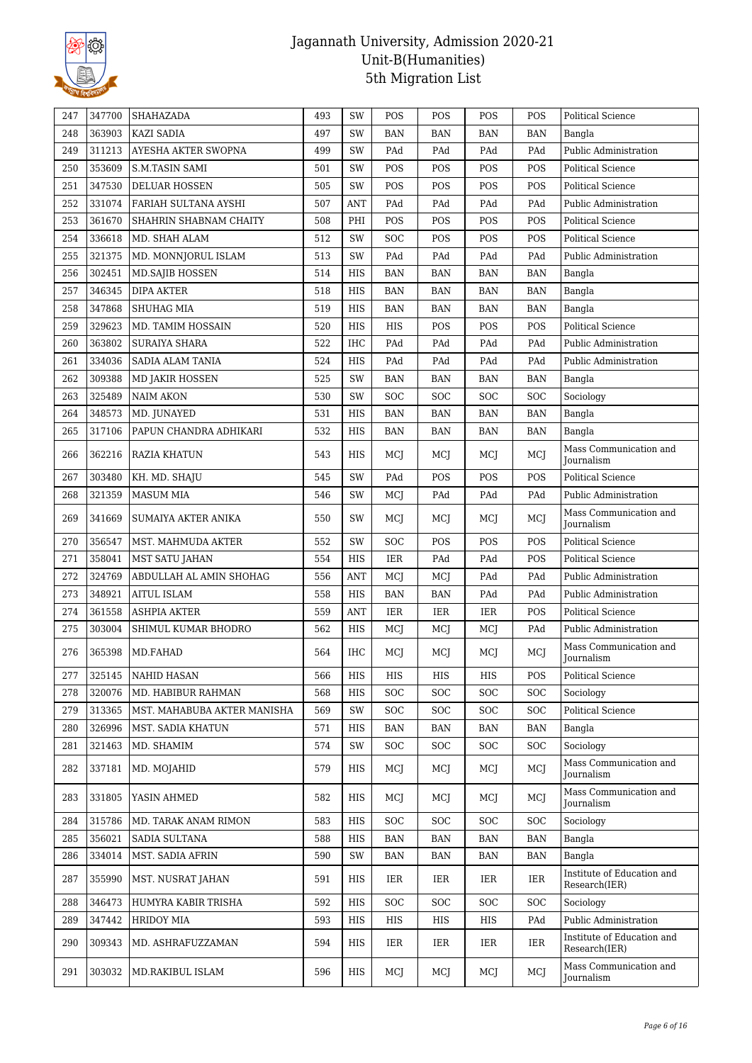

| 247 | 347700 | SHAHAZADA                   | 493 | SW                               | POS        | POS        | POS        | POS        | Political Science                           |
|-----|--------|-----------------------------|-----|----------------------------------|------------|------------|------------|------------|---------------------------------------------|
| 248 | 363903 | <b>KAZI SADIA</b>           | 497 | SW                               | <b>BAN</b> | <b>BAN</b> | <b>BAN</b> | <b>BAN</b> | Bangla                                      |
| 249 | 311213 | AYESHA AKTER SWOPNA         | 499 | SW                               | PAd        | PAd        | PAd        | PAd        | Public Administration                       |
| 250 | 353609 | <b>S.M.TASIN SAMI</b>       | 501 | SW                               | POS        | POS        | POS        | POS        | <b>Political Science</b>                    |
| 251 | 347530 | <b>DELUAR HOSSEN</b>        | 505 | SW                               | POS        | POS        | POS        | POS        | <b>Political Science</b>                    |
| 252 | 331074 | FARIAH SULTANA AYSHI        | 507 | ANT                              | PAd        | PAd        | PAd        | PAd        | Public Administration                       |
| 253 | 361670 | SHAHRIN SHABNAM CHAITY      | 508 | PHI                              | POS        | POS        | POS        | POS        | Political Science                           |
| 254 | 336618 | MD. SHAH ALAM               | 512 | SW                               | SOC        | POS        | POS        | POS        | <b>Political Science</b>                    |
| 255 | 321375 | MD. MONNJORUL ISLAM         | 513 | SW                               | PAd        | PAd        | PAd        | PAd        | Public Administration                       |
| 256 | 302451 | <b>MD.SAJIB HOSSEN</b>      | 514 | HIS                              | <b>BAN</b> | <b>BAN</b> | <b>BAN</b> | <b>BAN</b> | Bangla                                      |
| 257 | 346345 | <b>DIPA AKTER</b>           | 518 | <b>HIS</b>                       | <b>BAN</b> | <b>BAN</b> | <b>BAN</b> | <b>BAN</b> | Bangla                                      |
| 258 | 347868 | <b>SHUHAG MIA</b>           | 519 | <b>HIS</b>                       | <b>BAN</b> | <b>BAN</b> | <b>BAN</b> | <b>BAN</b> | Bangla                                      |
| 259 | 329623 | MD. TAMIM HOSSAIN           | 520 | <b>HIS</b>                       | HIS        | POS        | POS        | POS        | <b>Political Science</b>                    |
| 260 | 363802 | <b>SURAIYA SHARA</b>        | 522 | <b>IHC</b>                       | PAd        | PAd        | PAd        | PAd        | Public Administration                       |
| 261 | 334036 | <b>SADIA ALAM TANIA</b>     | 524 | <b>HIS</b>                       | PAd        | PAd        | PAd        | PAd        | Public Administration                       |
| 262 | 309388 | MD JAKIR HOSSEN             | 525 | SW                               | <b>BAN</b> | BAN        | BAN        | <b>BAN</b> | Bangla                                      |
| 263 | 325489 | <b>NAIM AKON</b>            | 530 | SW                               | <b>SOC</b> | <b>SOC</b> | <b>SOC</b> | <b>SOC</b> | Sociology                                   |
| 264 | 348573 | MD. JUNAYED                 | 531 | <b>HIS</b>                       | <b>BAN</b> | <b>BAN</b> | <b>BAN</b> | <b>BAN</b> | Bangla                                      |
| 265 | 317106 | PAPUN CHANDRA ADHIKARI      | 532 | HIS                              | BAN        | <b>BAN</b> | <b>BAN</b> | <b>BAN</b> | Bangla                                      |
| 266 | 362216 | RAZIA KHATUN                | 543 | HIS                              | MCJ        | MCJ        | MCJ        | MCI        | Mass Communication and<br>Journalism        |
| 267 | 303480 | KH. MD. SHAJU               | 545 | SW                               | PAd        | POS        | POS        | POS        | <b>Political Science</b>                    |
| 268 | 321359 | <b>MASUM MIA</b>            | 546 | SW                               | MCI        | PAd        | PAd        | PAd        | Public Administration                       |
| 269 | 341669 | SUMAIYA AKTER ANIKA         | 550 | SW                               | MCJ        | MCI        | MCJ        | MCI        | Mass Communication and<br>Journalism        |
| 270 | 356547 | MST. MAHMUDA AKTER          | 552 | SW                               | <b>SOC</b> | POS        | POS        | POS        | <b>Political Science</b>                    |
| 271 | 358041 | <b>MST SATU JAHAN</b>       | 554 | HIS                              | IER        | PAd        | PAd        | POS        | Political Science                           |
| 272 | 324769 | ABDULLAH AL AMIN SHOHAG     | 556 | <b>ANT</b>                       | MCJ        | MCJ        | PAd        | PAd        | Public Administration                       |
| 273 | 348921 | <b>AITUL ISLAM</b>          | 558 | <b>HIS</b>                       | <b>BAN</b> | <b>BAN</b> | PAd        | PAd        | Public Administration                       |
| 274 | 361558 | <b>ASHPIA AKTER</b>         | 559 | $\mathbf{A}\mathbf{N}\mathbf{T}$ | IER        | IER        | IER        | POS        | Political Science                           |
| 275 | 303004 | SHIMUL KUMAR BHODRO         | 562 | HIS                              | MCJ        | MCJ        | MCJ        | PAd        | <b>Public Administration</b>                |
| 276 | 365398 | MD.FAHAD                    | 564 | IHC                              | MCJ        | MCJ        | MCJ        | MCJ        | Mass Communication and<br>Journalism        |
| 277 | 325145 | <b>NAHID HASAN</b>          | 566 | HIS                              | HIS        | HIS        | HIS        | POS        | Political Science                           |
| 278 | 320076 | MD. HABIBUR RAHMAN          | 568 | <b>HIS</b>                       | <b>SOC</b> | <b>SOC</b> | <b>SOC</b> | <b>SOC</b> | Sociology                                   |
| 279 | 313365 | MST. MAHABUBA AKTER MANISHA | 569 | SW                               | <b>SOC</b> | <b>SOC</b> | <b>SOC</b> | <b>SOC</b> | Political Science                           |
| 280 | 326996 | MST. SADIA KHATUN           | 571 | HIS                              | <b>BAN</b> | <b>BAN</b> | <b>BAN</b> | <b>BAN</b> | Bangla                                      |
| 281 | 321463 | MD. SHAMIM                  | 574 | SW                               | SOC        | <b>SOC</b> | <b>SOC</b> | <b>SOC</b> | Sociology                                   |
| 282 | 337181 | MD. MOJAHID                 | 579 | HIS                              | MCJ        | MCJ        | MCJ        | MCJ        | Mass Communication and<br>Journalism        |
| 283 | 331805 | YASIN AHMED                 | 582 | HIS                              | MCI        | MCJ        | MCJ        | MCI        | Mass Communication and<br>Journalism        |
| 284 | 315786 | MD. TARAK ANAM RIMON        | 583 | HIS                              | <b>SOC</b> | <b>SOC</b> | <b>SOC</b> | <b>SOC</b> | Sociology                                   |
| 285 | 356021 | SADIA SULTANA               | 588 | <b>HIS</b>                       | <b>BAN</b> | <b>BAN</b> | <b>BAN</b> | <b>BAN</b> | Bangla                                      |
| 286 | 334014 | MST. SADIA AFRIN            | 590 | SW                               | BAN        | BAN        | BAN        | BAN        | Bangla                                      |
| 287 | 355990 | MST. NUSRAT JAHAN           | 591 | HIS                              | IER        | IER        | IER        | IER        | Institute of Education and<br>Research(IER) |
| 288 | 346473 | HUMYRA KABIR TRISHA         | 592 | HIS                              | <b>SOC</b> | <b>SOC</b> | <b>SOC</b> | <b>SOC</b> | Sociology                                   |
| 289 | 347442 | <b>HRIDOY MIA</b>           | 593 | HIS                              | HIS        | HIS        | HIS        | PAd        | Public Administration                       |
| 290 | 309343 | MD. ASHRAFUZZAMAN           | 594 | HIS                              | IER        | IER        | IER        | IER        | Institute of Education and<br>Research(IER) |
| 291 | 303032 | MD.RAKIBUL ISLAM            | 596 | HIS                              | MCI        | MCJ        | MCJ        | MCJ        | Mass Communication and<br>Journalism        |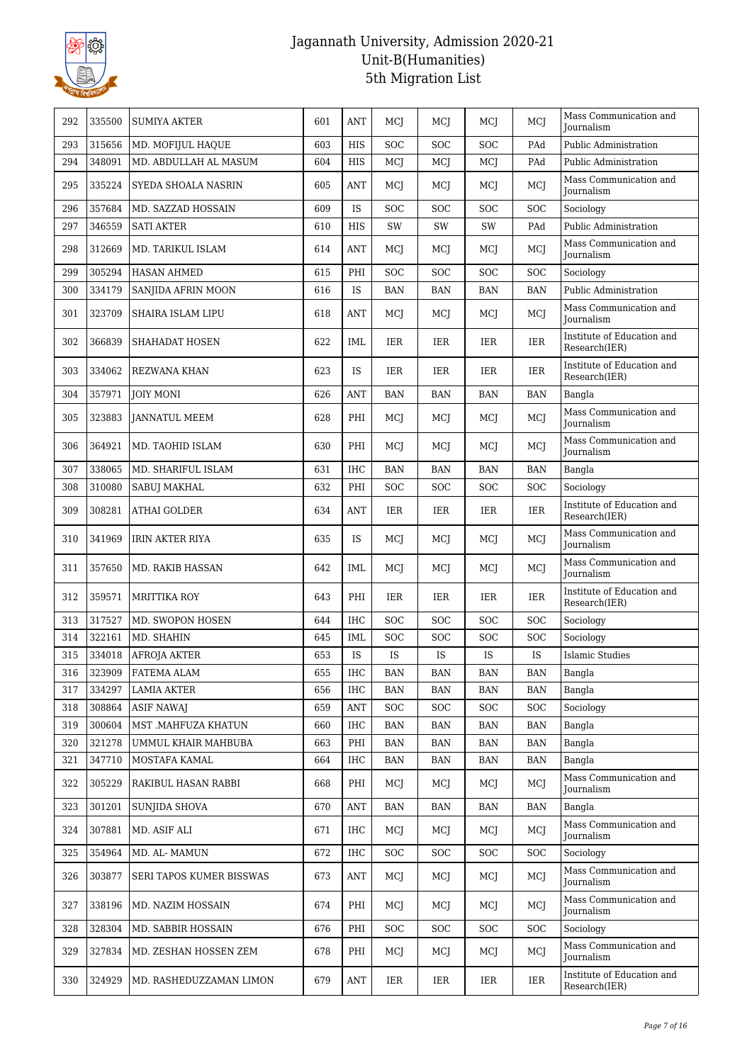

| 292 | 335500 | <b>SUMIYA AKTER</b>      | 601 | <b>ANT</b> | MCI                         | MCJ                         | MCI                         | MCJ                         | Mass Communication and<br><b>Iournalism</b> |
|-----|--------|--------------------------|-----|------------|-----------------------------|-----------------------------|-----------------------------|-----------------------------|---------------------------------------------|
| 293 | 315656 | MD. MOFIJUL HAQUE        | 603 | <b>HIS</b> | SOC                         | SOC                         | <b>SOC</b>                  | PAd                         | Public Administration                       |
| 294 | 348091 | MD. ABDULLAH AL MASUM    | 604 | <b>HIS</b> | MCI                         | MCI                         | MCI                         | PAd                         | Public Administration                       |
| 295 | 335224 | SYEDA SHOALA NASRIN      | 605 | ANT        | MCI                         | MCI                         | MCI                         | MCJ                         | Mass Communication and<br>Journalism        |
| 296 | 357684 | MD. SAZZAD HOSSAIN       | 609 | <b>IS</b>  | <b>SOC</b>                  | <b>SOC</b>                  | <b>SOC</b>                  | SOC                         | Sociology                                   |
| 297 | 346559 | <b>SATI AKTER</b>        | 610 | <b>HIS</b> | SW                          | SW                          | SW                          | PAd                         | Public Administration                       |
| 298 | 312669 | MD. TARIKUL ISLAM        | 614 | ANT        | MCJ                         | MCJ                         | MCI                         | MCJ                         | Mass Communication and<br>Journalism        |
| 299 | 305294 | <b>HASAN AHMED</b>       | 615 | PHI        | <b>SOC</b>                  | <b>SOC</b>                  | <b>SOC</b>                  | <b>SOC</b>                  | Sociology                                   |
| 300 | 334179 | SANJIDA AFRIN MOON       | 616 | IS         | <b>BAN</b>                  | <b>BAN</b>                  | <b>BAN</b>                  | <b>BAN</b>                  | Public Administration                       |
| 301 | 323709 | SHAIRA ISLAM LIPU        | 618 | <b>ANT</b> | MCJ                         | MCI                         | MCI                         | MCJ                         | Mass Communication and<br>Journalism        |
| 302 | 366839 | SHAHADAT HOSEN           | 622 | IML        | IER                         | IER                         | IER                         | IER                         | Institute of Education and<br>Research(IER) |
| 303 | 334062 | <b>REZWANA KHAN</b>      | 623 | <b>IS</b>  | <b>IER</b>                  | IER                         | IER                         | IER                         | Institute of Education and<br>Research(IER) |
| 304 | 357971 | <b>JOIY MONI</b>         | 626 | <b>ANT</b> | <b>BAN</b>                  | <b>BAN</b>                  | <b>BAN</b>                  | <b>BAN</b>                  | Bangla                                      |
| 305 | 323883 | JANNATUL MEEM            | 628 | PHI        | MCJ                         | MCI                         | MCI                         | MCJ                         | Mass Communication and<br><b>Iournalism</b> |
| 306 | 364921 | MD. TAOHID ISLAM         | 630 | PHI        | MCI                         | MCI                         | MCJ                         | MCJ                         | Mass Communication and<br>Journalism        |
| 307 | 338065 | MD. SHARIFUL ISLAM       | 631 | <b>IHC</b> | <b>BAN</b>                  | <b>BAN</b>                  | <b>BAN</b>                  | <b>BAN</b>                  | Bangla                                      |
| 308 | 310080 | SABUJ MAKHAL             | 632 | PHI        | <b>SOC</b>                  | <b>SOC</b>                  | <b>SOC</b>                  | <b>SOC</b>                  | Sociology                                   |
| 309 | 308281 | <b>ATHAI GOLDER</b>      | 634 | ANT        | IER                         | IER                         | IER                         | <b>IER</b>                  | Institute of Education and<br>Research(IER) |
| 310 | 341969 | IRIN AKTER RIYA          | 635 | <b>IS</b>  | MCI                         | MCI                         | MCI                         | MCJ                         | Mass Communication and<br>Journalism        |
| 311 | 357650 | MD. RAKIB HASSAN         | 642 | IML        | MCI                         | MCI                         | MCJ                         | MCJ                         | Mass Communication and<br>Journalism        |
| 312 | 359571 | <b>MRITTIKA ROY</b>      | 643 | PHI        | IER                         | IER                         | IER                         | <b>IER</b>                  | Institute of Education and<br>Research(IER) |
| 313 | 317527 | MD. SWOPON HOSEN         | 644 | <b>IHC</b> | <b>SOC</b>                  | <b>SOC</b>                  | <b>SOC</b>                  | <b>SOC</b>                  | Sociology                                   |
| 314 | 322161 | MD. SHAHIN               | 645 | IML        | <b>SOC</b>                  | <b>SOC</b>                  | <b>SOC</b>                  | <b>SOC</b>                  | Sociology                                   |
| 315 | 334018 | <b>AFROJA AKTER</b>      | 653 | <b>IS</b>  | <b>IS</b>                   | IS                          | IS                          | <b>IS</b>                   | <b>Islamic Studies</b>                      |
| 316 | 323909 | FATEMA ALAM              | 655 | $\rm IHC$  | $\ensuremath{\mathsf{BAN}}$ | $\ensuremath{\mathsf{BAN}}$ | $\ensuremath{\mathsf{BAN}}$ | $\ensuremath{\mathsf{BAN}}$ | Bangla                                      |
| 317 | 334297 | LAMIA AKTER              | 656 | IHC        | <b>BAN</b>                  | BAN                         | BAN                         | BAN                         | Bangla                                      |
| 318 | 308864 | <b>ASIF NAWAJ</b>        | 659 | <b>ANT</b> | SOC                         | <b>SOC</b>                  | <b>SOC</b>                  | <b>SOC</b>                  | Sociology                                   |
| 319 | 300604 | MST .MAHFUZA KHATUN      | 660 | <b>IHC</b> | BAN                         | <b>BAN</b>                  | <b>BAN</b>                  | <b>BAN</b>                  | Bangla                                      |
| 320 | 321278 | UMMUL KHAIR MAHBUBA      | 663 | PHI        | <b>BAN</b>                  | <b>BAN</b>                  | <b>BAN</b>                  | <b>BAN</b>                  | Bangla                                      |
| 321 | 347710 | MOSTAFA KAMAL            | 664 | IHC        | BAN                         | BAN                         | BAN                         | BAN                         | Bangla                                      |
| 322 | 305229 | RAKIBUL HASAN RABBI      | 668 | PHI        | MCJ                         | MCJ                         | MCI                         | MCJ                         | Mass Communication and<br><b>Iournalism</b> |
| 323 | 301201 | <b>SUNJIDA SHOVA</b>     | 670 | <b>ANT</b> | BAN                         | BAN                         | BAN                         | BAN                         | Bangla                                      |
| 324 | 307881 | MD. ASIF ALI             | 671 | <b>IHC</b> | MCJ                         | MCJ                         | MCJ                         | MCJ                         | Mass Communication and<br><b>Journalism</b> |
| 325 | 354964 | MD. AL-MAMUN             | 672 | IHC        | <b>SOC</b>                  | <b>SOC</b>                  | SOC                         | <b>SOC</b>                  | Sociology                                   |
| 326 | 303877 | SERI TAPOS KUMER BISSWAS | 673 | ANT        | MCJ                         | MCJ                         | MCJ                         | MCJ                         | Mass Communication and<br>Journalism        |
| 327 | 338196 | MD. NAZIM HOSSAIN        | 674 | PHI        | MCJ                         | MCJ                         | MCJ                         | MCJ                         | Mass Communication and<br>Journalism        |
| 328 | 328304 | MD. SABBIR HOSSAIN       | 676 | PHI        | <b>SOC</b>                  | <b>SOC</b>                  | SOC                         | <b>SOC</b>                  | Sociology                                   |
| 329 | 327834 | MD. ZESHAN HOSSEN ZEM    | 678 | PHI        | MCJ                         | MCJ                         | MCJ                         | MCJ                         | Mass Communication and<br>Journalism        |
| 330 | 324929 | MD. RASHEDUZZAMAN LIMON  | 679 | <b>ANT</b> | IER                         | IER                         | IER                         | <b>IER</b>                  | Institute of Education and<br>Research(IER) |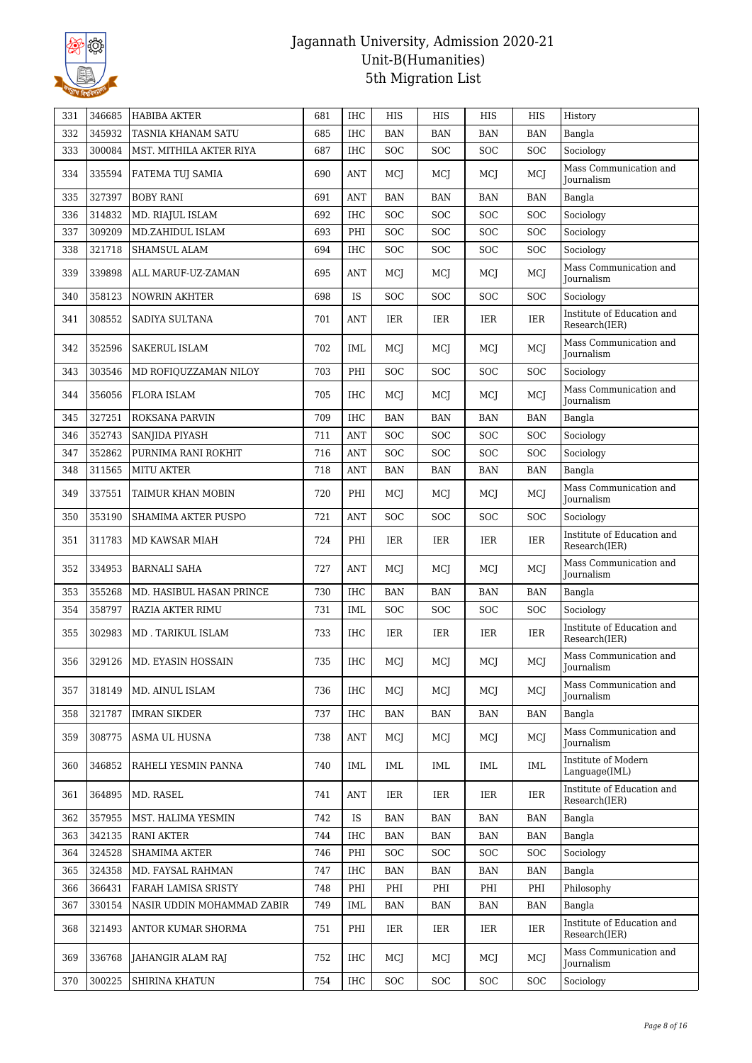

| 331 | 346685 | <b>HABIBA AKTER</b>        | 681 | <b>IHC</b> | <b>HIS</b> | HIS        | <b>HIS</b> | <b>HIS</b> | History                                     |
|-----|--------|----------------------------|-----|------------|------------|------------|------------|------------|---------------------------------------------|
| 332 | 345932 | TASNIA KHANAM SATU         | 685 | <b>IHC</b> | <b>BAN</b> | <b>BAN</b> | <b>BAN</b> | <b>BAN</b> | Bangla                                      |
| 333 | 300084 | MST. MITHILA AKTER RIYA    | 687 | <b>IHC</b> | SOC        | <b>SOC</b> | <b>SOC</b> | <b>SOC</b> | Sociology                                   |
| 334 | 335594 | FATEMA TUJ SAMIA           | 690 | ANT        | MCJ        | MCJ        | MCJ        | MCJ        | Mass Communication and<br><b>Journalism</b> |
| 335 | 327397 | <b>BOBY RANI</b>           | 691 | <b>ANT</b> | <b>BAN</b> | <b>BAN</b> | BAN        | BAN        | Bangla                                      |
| 336 | 314832 | MD. RIAJUL ISLAM           | 692 | <b>IHC</b> | SOC        | <b>SOC</b> | <b>SOC</b> | <b>SOC</b> | Sociology                                   |
| 337 | 309209 | MD.ZAHIDUL ISLAM           | 693 | PHI        | SOC        | SOC        | <b>SOC</b> | <b>SOC</b> | Sociology                                   |
| 338 | 321718 | SHAMSUL ALAM               | 694 | $\rm IHC$  | <b>SOC</b> | <b>SOC</b> | <b>SOC</b> | <b>SOC</b> | Sociology                                   |
| 339 | 339898 | ALL MARUF-UZ-ZAMAN         | 695 | ANT        | MCI        | MCJ        | MCJ        | MCJ        | Mass Communication and<br><b>Journalism</b> |
| 340 | 358123 | <b>NOWRIN AKHTER</b>       | 698 | IS         | <b>SOC</b> | <b>SOC</b> | <b>SOC</b> | <b>SOC</b> | Sociology                                   |
| 341 | 308552 | SADIYA SULTANA             | 701 | ANT        | IER        | IER        | IER        | IER        | Institute of Education and<br>Research(IER) |
| 342 | 352596 | <b>SAKERUL ISLAM</b>       | 702 | IML        | MCI        | MCJ        | MCJ        | MCJ        | Mass Communication and<br>Journalism        |
| 343 | 303546 | MD ROFIQUZZAMAN NILOY      | 703 | PHI        | <b>SOC</b> | <b>SOC</b> | SOC        | <b>SOC</b> | Sociology                                   |
| 344 | 356056 | <b>FLORA ISLAM</b>         | 705 | <b>IHC</b> | MCJ        | MCJ        | MCI        | MCI        | Mass Communication and<br><b>Iournalism</b> |
| 345 | 327251 | <b>ROKSANA PARVIN</b>      | 709 | <b>IHC</b> | <b>BAN</b> | <b>BAN</b> | <b>BAN</b> | <b>BAN</b> | Bangla                                      |
| 346 | 352743 | SANJIDA PIYASH             | 711 | <b>ANT</b> | SOC        | SOC        | SOC        | <b>SOC</b> | Sociology                                   |
| 347 | 352862 | PURNIMA RANI ROKHIT        | 716 | <b>ANT</b> | SOC        | <b>SOC</b> | <b>SOC</b> | <b>SOC</b> | Sociology                                   |
| 348 | 311565 | MITU AKTER                 | 718 | ANT        | <b>BAN</b> | <b>BAN</b> | BAN        | <b>BAN</b> | Bangla                                      |
| 349 | 337551 | TAIMUR KHAN MOBIN          | 720 | PHI        | MCJ        | MCI        | MCJ        | MCI        | Mass Communication and<br>Journalism        |
| 350 | 353190 | SHAMIMA AKTER PUSPO        | 721 | <b>ANT</b> | <b>SOC</b> | <b>SOC</b> | <b>SOC</b> | <b>SOC</b> | Sociology                                   |
| 351 | 311783 | MD KAWSAR MIAH             | 724 | PHI        | IER        | IER        | IER        | IER        | Institute of Education and<br>Research(IER) |
| 352 | 334953 | <b>BARNALI SAHA</b>        | 727 | ANT        | MCI        | MCJ        | MCJ        | MCI        | Mass Communication and<br><b>Journalism</b> |
| 353 | 355268 | MD. HASIBUL HASAN PRINCE   | 730 | <b>IHC</b> | <b>BAN</b> | <b>BAN</b> | <b>BAN</b> | <b>BAN</b> | Bangla                                      |
| 354 | 358797 | RAZIA AKTER RIMU           | 731 | IML        | <b>SOC</b> | <b>SOC</b> | SOC        | SOC        | Sociology                                   |
| 355 | 302983 | MD . TARIKUL ISLAM         | 733 | <b>IHC</b> | IER        | IER        | IER        | IER        | Institute of Education and<br>Research(IER) |
| 356 | 329126 | <b>MD. EYASIN HOSSAIN</b>  | 735 | <b>IHC</b> | MCJ        | MCI        | MCJ        | MCJ        | Mass Communication and<br>Journalism        |
| 357 | 318149 | MD. AINUL ISLAM            | 736 | <b>IHC</b> | MCJ        | MCJ        | MCJ        | MCI        | Mass Communication and<br>Journalism        |
| 358 | 321787 | <b>IMRAN SIKDER</b>        | 737 | IHC        | <b>BAN</b> | BAN        | BAN        | <b>BAN</b> | Bangla                                      |
| 359 | 308775 | ASMA UL HUSNA              | 738 | <b>ANT</b> | MCJ        | MCJ        | MCJ        | MCJ        | Mass Communication and<br>Journalism        |
| 360 | 346852 | RAHELI YESMIN PANNA        | 740 | IML        | IML        | IML        | IML        | IML        | Institute of Modern<br>Language(IML)        |
| 361 | 364895 | MD. RASEL                  | 741 | ANT        | IER        | IER        | IER        | <b>IER</b> | Institute of Education and<br>Research(IER) |
| 362 | 357955 | MST. HALIMA YESMIN         | 742 | IS         | BAN        | BAN        | BAN        | BAN        | Bangla                                      |
| 363 | 342135 | <b>RANI AKTER</b>          | 744 | IHC        | BAN        | BAN        | BAN        | BAN        | Bangla                                      |
| 364 | 324528 | <b>SHAMIMA AKTER</b>       | 746 | PHI        | <b>SOC</b> | <b>SOC</b> | SOC        | <b>SOC</b> | Sociology                                   |
| 365 | 324358 | MD. FAYSAL RAHMAN          | 747 | IHC        | <b>BAN</b> | BAN        | <b>BAN</b> | <b>BAN</b> | Bangla                                      |
| 366 | 366431 | FARAH LAMISA SRISTY        | 748 | PHI        | PHI        | PHI        | PHI        | PHI        | Philosophy                                  |
| 367 | 330154 | NASIR UDDIN MOHAMMAD ZABIR | 749 | IML        | BAN        | BAN        | BAN        | BAN        | Bangla                                      |
| 368 | 321493 | ANTOR KUMAR SHORMA         | 751 | PHI        | IER        | IER        | IER        | IER        | Institute of Education and<br>Research(IER) |
| 369 | 336768 | JAHANGIR ALAM RAJ          | 752 | IHC        | MCJ        | MCJ        | MCJ        | MCJ        | Mass Communication and<br>Journalism        |
| 370 | 300225 | SHIRINA KHATUN             | 754 | IHC        | SOC        | <b>SOC</b> | <b>SOC</b> | <b>SOC</b> | Sociology                                   |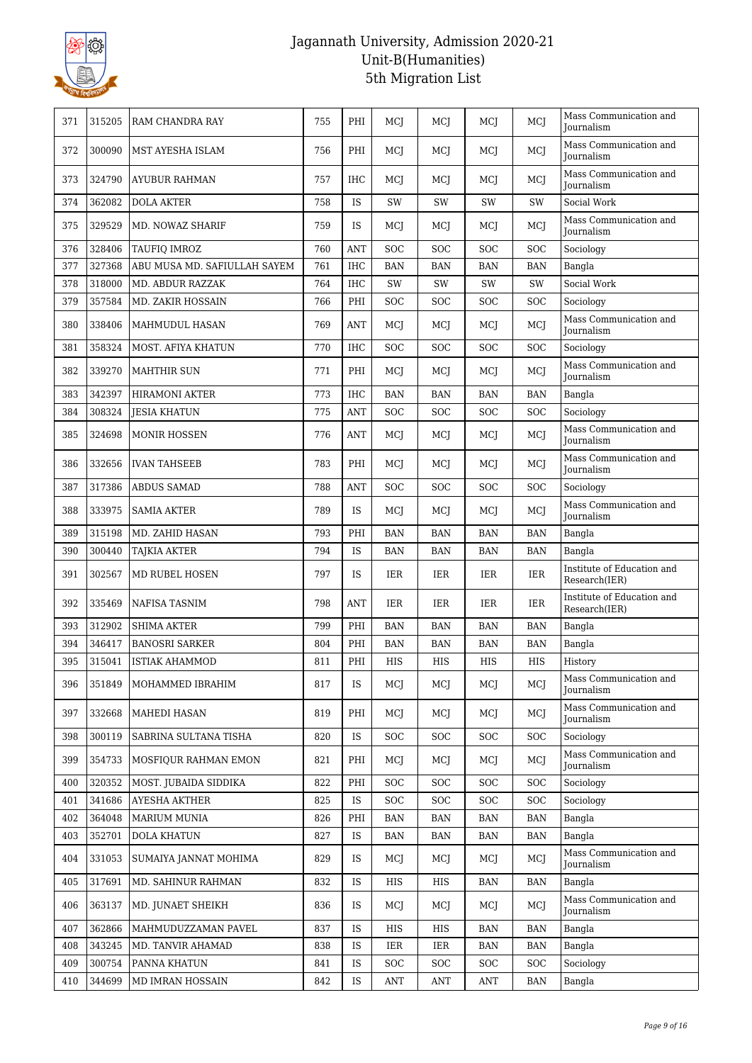

| Mass Communication and<br>300090<br>PHI<br>MCJ<br>372<br>MST AYESHA ISLAM<br>756<br>MCI<br>MCJ<br>MCI<br><b>Journalism</b><br>Mass Communication and<br>324790<br>757<br>IHC<br>MCI<br>MCI<br>MCI<br>MCI<br>373<br>AYUBUR RAHMAN<br>Journalism<br>Social Work<br>374<br>362082<br><b>DOLA AKTER</b><br>758<br>IS<br>SW<br>SW<br>SW<br>SW<br>Mass Communication and<br>329529<br>MCJ<br>375<br>MD. NOWAZ SHARIF<br>759<br>IS<br>MCJ<br>MCI<br>MCJ<br>Journalism<br>376<br>328406<br>TAUFIQ IMROZ<br>760<br><b>ANT</b><br><b>SOC</b><br><b>SOC</b><br><b>SOC</b><br><b>SOC</b><br>Sociology<br>377<br>327368<br>ABU MUSA MD. SAFIULLAH SAYEM<br>761<br><b>IHC</b><br><b>BAN</b><br><b>BAN</b><br><b>BAN</b><br><b>BAN</b><br>Bangla<br>318000<br>764<br><b>IHC</b><br>SW<br>SW<br>Social Work<br>378<br>MD. ABDUR RAZZAK<br>SW<br>SW<br>379<br>357584<br>MD. ZAKIR HOSSAIN<br>766<br>PHI<br><b>SOC</b><br>SOC<br>SOC<br><b>SOC</b><br>Sociology<br>Mass Communication and<br>338406<br>769<br><b>ANT</b><br>380<br>MAHMUDUL HASAN<br>MCI<br>MCJ<br>MCI<br>MCJ<br>Journalism<br>358324<br>770<br><b>IHC</b><br><b>SOC</b><br><b>SOC</b><br><b>SOC</b><br>381<br>MOST. AFIYA KHATUN<br><b>SOC</b><br>Sociology<br>Mass Communication and<br>382<br>339270<br>771<br>PHI<br><b>MAHTHIR SUN</b><br>MCI<br>MCI<br>MCI<br>MCI<br>Journalism<br>$\rm IHC$<br>383<br>342397<br>773<br><b>BAN</b><br><b>BAN</b><br><b>HIRAMONI AKTER</b><br><b>BAN</b><br><b>BAN</b><br>Bangla<br>384<br>308324<br>775<br>ANT<br><b>SOC</b><br><b>SOC</b><br><b>SOC</b><br><b>SOC</b><br>Sociology<br><b>JESIA KHATUN</b><br>Mass Communication and<br>385<br>324698<br><b>MONIR HOSSEN</b><br>776<br>ANT<br>MCI<br>MCI<br>MCJ<br>MCJ<br><b>Journalism</b><br>Mass Communication and<br>783<br>PHI<br>386<br>332656<br><b>IVAN TAHSEEB</b><br>MCI<br>MCJ<br>MCJ<br>MCJ<br>Journalism<br>317386<br>ABDUS SAMAD<br>788<br><b>SOC</b><br>387<br><b>ANT</b><br><b>SOC</b><br><b>SOC</b><br><b>SOC</b><br>Sociology<br>Mass Communication and<br>388<br>333975<br>789<br>IS<br>SAMIA AKTER<br>MCJ<br>MCJ<br>MCJ<br>MCI<br>Journalism<br>315198<br>389<br>MD. ZAHID HASAN<br>793<br>PHI<br><b>BAN</b><br><b>BAN</b><br><b>BAN</b><br><b>BAN</b><br>Bangla<br>390<br>300440<br>794<br>IS<br><b>TAJKIA AKTER</b><br><b>BAN</b><br><b>BAN</b><br><b>BAN</b><br><b>BAN</b><br>Bangla<br>Institute of Education and<br>302567<br>797<br><b>IS</b><br>IER<br>391<br>MD RUBEL HOSEN<br>IER<br>IER<br>IER<br>Research(IER)<br>Institute of Education and<br>392<br>335469<br>NAFISA TASNIM<br>798<br>ANT<br>IER<br>IER<br>IER<br>IER<br>Research(IER)<br>312902<br><b>SHIMA AKTER</b><br>799<br>PHI<br>393<br><b>BAN</b><br><b>BAN</b><br><b>BAN</b><br><b>BAN</b><br>Bangla<br>394<br>346417<br><b>BANOSRI SARKER</b><br>804<br>PHI<br><b>BAN</b><br><b>BAN</b><br><b>BAN</b><br><b>BAN</b><br>Bangla<br>315041<br>PHI<br><b>HIS</b><br>HIS<br>HIS<br>395<br><b>ISTIAK AHAMMOD</b><br>811<br>HIS<br>History<br>Mass Communication and<br>351849<br>817<br>IS<br>MCJ<br>396<br>MOHAMMED IBRAHIM<br>MCI<br>MCJ<br>MCJ<br>Journalism<br>Mass Communication and<br>332668<br>819<br>PHI<br>MCJ<br>MCJ<br>397<br>MAHEDI HASAN<br>MCJ<br>MCJ<br>Journalism<br>300119<br>820<br>IS<br>398<br>SABRINA SULTANA TISHA<br><b>SOC</b><br><b>SOC</b><br><b>SOC</b><br><b>SOC</b><br>Sociology<br>Mass Communication and<br>821<br>PHI<br>399<br>354733<br>MOSFIQUR RAHMAN EMON<br>MCJ<br>MCJ<br>MCJ<br>MCJ<br>Journalism<br>320352<br>MOST. JUBAIDA SIDDIKA<br>822<br>PHI<br><b>SOC</b><br><b>SOC</b><br><b>SOC</b><br>Sociology<br>400<br>SOC<br>401<br>341686<br>AYESHA AKTHER<br>825<br>IS<br><b>SOC</b><br><b>SOC</b><br><b>SOC</b><br><b>SOC</b><br>Sociology<br>364048<br>MARIUM MUNIA<br>826<br>402<br>PHI<br>BAN<br><b>BAN</b><br><b>BAN</b><br><b>BAN</b><br>Bangla<br>352701<br><b>DOLA KHATUN</b><br>827<br>IS<br><b>BAN</b><br>Bangla<br>403<br>BAN<br>BAN<br>BAN<br>Mass Communication and<br>331053<br>404<br>IS | 371 | 315205 | RAM CHANDRA RAY       | 755 | PHI | MCI | MCI | MCI | MCJ | Mass Communication and<br>Journalism |
|---------------------------------------------------------------------------------------------------------------------------------------------------------------------------------------------------------------------------------------------------------------------------------------------------------------------------------------------------------------------------------------------------------------------------------------------------------------------------------------------------------------------------------------------------------------------------------------------------------------------------------------------------------------------------------------------------------------------------------------------------------------------------------------------------------------------------------------------------------------------------------------------------------------------------------------------------------------------------------------------------------------------------------------------------------------------------------------------------------------------------------------------------------------------------------------------------------------------------------------------------------------------------------------------------------------------------------------------------------------------------------------------------------------------------------------------------------------------------------------------------------------------------------------------------------------------------------------------------------------------------------------------------------------------------------------------------------------------------------------------------------------------------------------------------------------------------------------------------------------------------------------------------------------------------------------------------------------------------------------------------------------------------------------------------------------------------------------------------------------------------------------------------------------------------------------------------------------------------------------------------------------------------------------------------------------------------------------------------------------------------------------------------------------------------------------------------------------------------------------------------------------------------------------------------------------------------------------------------------------------------------------------------------------------------------------------------------------------------------------------------------------------------------------------------------------------------------------------------------------------------------------------------------------------------------------------------------------------------------------------------------------------------------------------------------------------------------------------------------------------------------------------------------------------------------------------------------------------------------------------------------------------------------------------------------------------------------------------------------------------------------------------------------------------------------------------------------------------------------------------------------------------------------------------------------------------------------------------------------------------------------------------------------------------------------------------------------------------------------------------------------------------------------------------------------------------------------------------------------------------------------------------------------------------------------------------------------------------------|-----|--------|-----------------------|-----|-----|-----|-----|-----|-----|--------------------------------------|
|                                                                                                                                                                                                                                                                                                                                                                                                                                                                                                                                                                                                                                                                                                                                                                                                                                                                                                                                                                                                                                                                                                                                                                                                                                                                                                                                                                                                                                                                                                                                                                                                                                                                                                                                                                                                                                                                                                                                                                                                                                                                                                                                                                                                                                                                                                                                                                                                                                                                                                                                                                                                                                                                                                                                                                                                                                                                                                                                                                                                                                                                                                                                                                                                                                                                                                                                                                                                                                                                                                                                                                                                                                                                                                                                                                                                                                                                                                                                                                           |     |        |                       |     |     |     |     |     |     |                                      |
|                                                                                                                                                                                                                                                                                                                                                                                                                                                                                                                                                                                                                                                                                                                                                                                                                                                                                                                                                                                                                                                                                                                                                                                                                                                                                                                                                                                                                                                                                                                                                                                                                                                                                                                                                                                                                                                                                                                                                                                                                                                                                                                                                                                                                                                                                                                                                                                                                                                                                                                                                                                                                                                                                                                                                                                                                                                                                                                                                                                                                                                                                                                                                                                                                                                                                                                                                                                                                                                                                                                                                                                                                                                                                                                                                                                                                                                                                                                                                                           |     |        |                       |     |     |     |     |     |     |                                      |
|                                                                                                                                                                                                                                                                                                                                                                                                                                                                                                                                                                                                                                                                                                                                                                                                                                                                                                                                                                                                                                                                                                                                                                                                                                                                                                                                                                                                                                                                                                                                                                                                                                                                                                                                                                                                                                                                                                                                                                                                                                                                                                                                                                                                                                                                                                                                                                                                                                                                                                                                                                                                                                                                                                                                                                                                                                                                                                                                                                                                                                                                                                                                                                                                                                                                                                                                                                                                                                                                                                                                                                                                                                                                                                                                                                                                                                                                                                                                                                           |     |        |                       |     |     |     |     |     |     |                                      |
|                                                                                                                                                                                                                                                                                                                                                                                                                                                                                                                                                                                                                                                                                                                                                                                                                                                                                                                                                                                                                                                                                                                                                                                                                                                                                                                                                                                                                                                                                                                                                                                                                                                                                                                                                                                                                                                                                                                                                                                                                                                                                                                                                                                                                                                                                                                                                                                                                                                                                                                                                                                                                                                                                                                                                                                                                                                                                                                                                                                                                                                                                                                                                                                                                                                                                                                                                                                                                                                                                                                                                                                                                                                                                                                                                                                                                                                                                                                                                                           |     |        |                       |     |     |     |     |     |     |                                      |
|                                                                                                                                                                                                                                                                                                                                                                                                                                                                                                                                                                                                                                                                                                                                                                                                                                                                                                                                                                                                                                                                                                                                                                                                                                                                                                                                                                                                                                                                                                                                                                                                                                                                                                                                                                                                                                                                                                                                                                                                                                                                                                                                                                                                                                                                                                                                                                                                                                                                                                                                                                                                                                                                                                                                                                                                                                                                                                                                                                                                                                                                                                                                                                                                                                                                                                                                                                                                                                                                                                                                                                                                                                                                                                                                                                                                                                                                                                                                                                           |     |        |                       |     |     |     |     |     |     |                                      |
|                                                                                                                                                                                                                                                                                                                                                                                                                                                                                                                                                                                                                                                                                                                                                                                                                                                                                                                                                                                                                                                                                                                                                                                                                                                                                                                                                                                                                                                                                                                                                                                                                                                                                                                                                                                                                                                                                                                                                                                                                                                                                                                                                                                                                                                                                                                                                                                                                                                                                                                                                                                                                                                                                                                                                                                                                                                                                                                                                                                                                                                                                                                                                                                                                                                                                                                                                                                                                                                                                                                                                                                                                                                                                                                                                                                                                                                                                                                                                                           |     |        |                       |     |     |     |     |     |     |                                      |
|                                                                                                                                                                                                                                                                                                                                                                                                                                                                                                                                                                                                                                                                                                                                                                                                                                                                                                                                                                                                                                                                                                                                                                                                                                                                                                                                                                                                                                                                                                                                                                                                                                                                                                                                                                                                                                                                                                                                                                                                                                                                                                                                                                                                                                                                                                                                                                                                                                                                                                                                                                                                                                                                                                                                                                                                                                                                                                                                                                                                                                                                                                                                                                                                                                                                                                                                                                                                                                                                                                                                                                                                                                                                                                                                                                                                                                                                                                                                                                           |     |        |                       |     |     |     |     |     |     |                                      |
|                                                                                                                                                                                                                                                                                                                                                                                                                                                                                                                                                                                                                                                                                                                                                                                                                                                                                                                                                                                                                                                                                                                                                                                                                                                                                                                                                                                                                                                                                                                                                                                                                                                                                                                                                                                                                                                                                                                                                                                                                                                                                                                                                                                                                                                                                                                                                                                                                                                                                                                                                                                                                                                                                                                                                                                                                                                                                                                                                                                                                                                                                                                                                                                                                                                                                                                                                                                                                                                                                                                                                                                                                                                                                                                                                                                                                                                                                                                                                                           |     |        |                       |     |     |     |     |     |     |                                      |
|                                                                                                                                                                                                                                                                                                                                                                                                                                                                                                                                                                                                                                                                                                                                                                                                                                                                                                                                                                                                                                                                                                                                                                                                                                                                                                                                                                                                                                                                                                                                                                                                                                                                                                                                                                                                                                                                                                                                                                                                                                                                                                                                                                                                                                                                                                                                                                                                                                                                                                                                                                                                                                                                                                                                                                                                                                                                                                                                                                                                                                                                                                                                                                                                                                                                                                                                                                                                                                                                                                                                                                                                                                                                                                                                                                                                                                                                                                                                                                           |     |        |                       |     |     |     |     |     |     |                                      |
|                                                                                                                                                                                                                                                                                                                                                                                                                                                                                                                                                                                                                                                                                                                                                                                                                                                                                                                                                                                                                                                                                                                                                                                                                                                                                                                                                                                                                                                                                                                                                                                                                                                                                                                                                                                                                                                                                                                                                                                                                                                                                                                                                                                                                                                                                                                                                                                                                                                                                                                                                                                                                                                                                                                                                                                                                                                                                                                                                                                                                                                                                                                                                                                                                                                                                                                                                                                                                                                                                                                                                                                                                                                                                                                                                                                                                                                                                                                                                                           |     |        |                       |     |     |     |     |     |     |                                      |
|                                                                                                                                                                                                                                                                                                                                                                                                                                                                                                                                                                                                                                                                                                                                                                                                                                                                                                                                                                                                                                                                                                                                                                                                                                                                                                                                                                                                                                                                                                                                                                                                                                                                                                                                                                                                                                                                                                                                                                                                                                                                                                                                                                                                                                                                                                                                                                                                                                                                                                                                                                                                                                                                                                                                                                                                                                                                                                                                                                                                                                                                                                                                                                                                                                                                                                                                                                                                                                                                                                                                                                                                                                                                                                                                                                                                                                                                                                                                                                           |     |        |                       |     |     |     |     |     |     |                                      |
|                                                                                                                                                                                                                                                                                                                                                                                                                                                                                                                                                                                                                                                                                                                                                                                                                                                                                                                                                                                                                                                                                                                                                                                                                                                                                                                                                                                                                                                                                                                                                                                                                                                                                                                                                                                                                                                                                                                                                                                                                                                                                                                                                                                                                                                                                                                                                                                                                                                                                                                                                                                                                                                                                                                                                                                                                                                                                                                                                                                                                                                                                                                                                                                                                                                                                                                                                                                                                                                                                                                                                                                                                                                                                                                                                                                                                                                                                                                                                                           |     |        |                       |     |     |     |     |     |     |                                      |
|                                                                                                                                                                                                                                                                                                                                                                                                                                                                                                                                                                                                                                                                                                                                                                                                                                                                                                                                                                                                                                                                                                                                                                                                                                                                                                                                                                                                                                                                                                                                                                                                                                                                                                                                                                                                                                                                                                                                                                                                                                                                                                                                                                                                                                                                                                                                                                                                                                                                                                                                                                                                                                                                                                                                                                                                                                                                                                                                                                                                                                                                                                                                                                                                                                                                                                                                                                                                                                                                                                                                                                                                                                                                                                                                                                                                                                                                                                                                                                           |     |        |                       |     |     |     |     |     |     |                                      |
|                                                                                                                                                                                                                                                                                                                                                                                                                                                                                                                                                                                                                                                                                                                                                                                                                                                                                                                                                                                                                                                                                                                                                                                                                                                                                                                                                                                                                                                                                                                                                                                                                                                                                                                                                                                                                                                                                                                                                                                                                                                                                                                                                                                                                                                                                                                                                                                                                                                                                                                                                                                                                                                                                                                                                                                                                                                                                                                                                                                                                                                                                                                                                                                                                                                                                                                                                                                                                                                                                                                                                                                                                                                                                                                                                                                                                                                                                                                                                                           |     |        |                       |     |     |     |     |     |     |                                      |
|                                                                                                                                                                                                                                                                                                                                                                                                                                                                                                                                                                                                                                                                                                                                                                                                                                                                                                                                                                                                                                                                                                                                                                                                                                                                                                                                                                                                                                                                                                                                                                                                                                                                                                                                                                                                                                                                                                                                                                                                                                                                                                                                                                                                                                                                                                                                                                                                                                                                                                                                                                                                                                                                                                                                                                                                                                                                                                                                                                                                                                                                                                                                                                                                                                                                                                                                                                                                                                                                                                                                                                                                                                                                                                                                                                                                                                                                                                                                                                           |     |        |                       |     |     |     |     |     |     |                                      |
|                                                                                                                                                                                                                                                                                                                                                                                                                                                                                                                                                                                                                                                                                                                                                                                                                                                                                                                                                                                                                                                                                                                                                                                                                                                                                                                                                                                                                                                                                                                                                                                                                                                                                                                                                                                                                                                                                                                                                                                                                                                                                                                                                                                                                                                                                                                                                                                                                                                                                                                                                                                                                                                                                                                                                                                                                                                                                                                                                                                                                                                                                                                                                                                                                                                                                                                                                                                                                                                                                                                                                                                                                                                                                                                                                                                                                                                                                                                                                                           |     |        |                       |     |     |     |     |     |     |                                      |
|                                                                                                                                                                                                                                                                                                                                                                                                                                                                                                                                                                                                                                                                                                                                                                                                                                                                                                                                                                                                                                                                                                                                                                                                                                                                                                                                                                                                                                                                                                                                                                                                                                                                                                                                                                                                                                                                                                                                                                                                                                                                                                                                                                                                                                                                                                                                                                                                                                                                                                                                                                                                                                                                                                                                                                                                                                                                                                                                                                                                                                                                                                                                                                                                                                                                                                                                                                                                                                                                                                                                                                                                                                                                                                                                                                                                                                                                                                                                                                           |     |        |                       |     |     |     |     |     |     |                                      |
|                                                                                                                                                                                                                                                                                                                                                                                                                                                                                                                                                                                                                                                                                                                                                                                                                                                                                                                                                                                                                                                                                                                                                                                                                                                                                                                                                                                                                                                                                                                                                                                                                                                                                                                                                                                                                                                                                                                                                                                                                                                                                                                                                                                                                                                                                                                                                                                                                                                                                                                                                                                                                                                                                                                                                                                                                                                                                                                                                                                                                                                                                                                                                                                                                                                                                                                                                                                                                                                                                                                                                                                                                                                                                                                                                                                                                                                                                                                                                                           |     |        |                       |     |     |     |     |     |     |                                      |
|                                                                                                                                                                                                                                                                                                                                                                                                                                                                                                                                                                                                                                                                                                                                                                                                                                                                                                                                                                                                                                                                                                                                                                                                                                                                                                                                                                                                                                                                                                                                                                                                                                                                                                                                                                                                                                                                                                                                                                                                                                                                                                                                                                                                                                                                                                                                                                                                                                                                                                                                                                                                                                                                                                                                                                                                                                                                                                                                                                                                                                                                                                                                                                                                                                                                                                                                                                                                                                                                                                                                                                                                                                                                                                                                                                                                                                                                                                                                                                           |     |        |                       |     |     |     |     |     |     |                                      |
|                                                                                                                                                                                                                                                                                                                                                                                                                                                                                                                                                                                                                                                                                                                                                                                                                                                                                                                                                                                                                                                                                                                                                                                                                                                                                                                                                                                                                                                                                                                                                                                                                                                                                                                                                                                                                                                                                                                                                                                                                                                                                                                                                                                                                                                                                                                                                                                                                                                                                                                                                                                                                                                                                                                                                                                                                                                                                                                                                                                                                                                                                                                                                                                                                                                                                                                                                                                                                                                                                                                                                                                                                                                                                                                                                                                                                                                                                                                                                                           |     |        |                       |     |     |     |     |     |     |                                      |
|                                                                                                                                                                                                                                                                                                                                                                                                                                                                                                                                                                                                                                                                                                                                                                                                                                                                                                                                                                                                                                                                                                                                                                                                                                                                                                                                                                                                                                                                                                                                                                                                                                                                                                                                                                                                                                                                                                                                                                                                                                                                                                                                                                                                                                                                                                                                                                                                                                                                                                                                                                                                                                                                                                                                                                                                                                                                                                                                                                                                                                                                                                                                                                                                                                                                                                                                                                                                                                                                                                                                                                                                                                                                                                                                                                                                                                                                                                                                                                           |     |        |                       |     |     |     |     |     |     |                                      |
|                                                                                                                                                                                                                                                                                                                                                                                                                                                                                                                                                                                                                                                                                                                                                                                                                                                                                                                                                                                                                                                                                                                                                                                                                                                                                                                                                                                                                                                                                                                                                                                                                                                                                                                                                                                                                                                                                                                                                                                                                                                                                                                                                                                                                                                                                                                                                                                                                                                                                                                                                                                                                                                                                                                                                                                                                                                                                                                                                                                                                                                                                                                                                                                                                                                                                                                                                                                                                                                                                                                                                                                                                                                                                                                                                                                                                                                                                                                                                                           |     |        |                       |     |     |     |     |     |     |                                      |
|                                                                                                                                                                                                                                                                                                                                                                                                                                                                                                                                                                                                                                                                                                                                                                                                                                                                                                                                                                                                                                                                                                                                                                                                                                                                                                                                                                                                                                                                                                                                                                                                                                                                                                                                                                                                                                                                                                                                                                                                                                                                                                                                                                                                                                                                                                                                                                                                                                                                                                                                                                                                                                                                                                                                                                                                                                                                                                                                                                                                                                                                                                                                                                                                                                                                                                                                                                                                                                                                                                                                                                                                                                                                                                                                                                                                                                                                                                                                                                           |     |        |                       |     |     |     |     |     |     |                                      |
|                                                                                                                                                                                                                                                                                                                                                                                                                                                                                                                                                                                                                                                                                                                                                                                                                                                                                                                                                                                                                                                                                                                                                                                                                                                                                                                                                                                                                                                                                                                                                                                                                                                                                                                                                                                                                                                                                                                                                                                                                                                                                                                                                                                                                                                                                                                                                                                                                                                                                                                                                                                                                                                                                                                                                                                                                                                                                                                                                                                                                                                                                                                                                                                                                                                                                                                                                                                                                                                                                                                                                                                                                                                                                                                                                                                                                                                                                                                                                                           |     |        |                       |     |     |     |     |     |     |                                      |
|                                                                                                                                                                                                                                                                                                                                                                                                                                                                                                                                                                                                                                                                                                                                                                                                                                                                                                                                                                                                                                                                                                                                                                                                                                                                                                                                                                                                                                                                                                                                                                                                                                                                                                                                                                                                                                                                                                                                                                                                                                                                                                                                                                                                                                                                                                                                                                                                                                                                                                                                                                                                                                                                                                                                                                                                                                                                                                                                                                                                                                                                                                                                                                                                                                                                                                                                                                                                                                                                                                                                                                                                                                                                                                                                                                                                                                                                                                                                                                           |     |        |                       |     |     |     |     |     |     |                                      |
|                                                                                                                                                                                                                                                                                                                                                                                                                                                                                                                                                                                                                                                                                                                                                                                                                                                                                                                                                                                                                                                                                                                                                                                                                                                                                                                                                                                                                                                                                                                                                                                                                                                                                                                                                                                                                                                                                                                                                                                                                                                                                                                                                                                                                                                                                                                                                                                                                                                                                                                                                                                                                                                                                                                                                                                                                                                                                                                                                                                                                                                                                                                                                                                                                                                                                                                                                                                                                                                                                                                                                                                                                                                                                                                                                                                                                                                                                                                                                                           |     |        |                       |     |     |     |     |     |     |                                      |
|                                                                                                                                                                                                                                                                                                                                                                                                                                                                                                                                                                                                                                                                                                                                                                                                                                                                                                                                                                                                                                                                                                                                                                                                                                                                                                                                                                                                                                                                                                                                                                                                                                                                                                                                                                                                                                                                                                                                                                                                                                                                                                                                                                                                                                                                                                                                                                                                                                                                                                                                                                                                                                                                                                                                                                                                                                                                                                                                                                                                                                                                                                                                                                                                                                                                                                                                                                                                                                                                                                                                                                                                                                                                                                                                                                                                                                                                                                                                                                           |     |        |                       |     |     |     |     |     |     |                                      |
|                                                                                                                                                                                                                                                                                                                                                                                                                                                                                                                                                                                                                                                                                                                                                                                                                                                                                                                                                                                                                                                                                                                                                                                                                                                                                                                                                                                                                                                                                                                                                                                                                                                                                                                                                                                                                                                                                                                                                                                                                                                                                                                                                                                                                                                                                                                                                                                                                                                                                                                                                                                                                                                                                                                                                                                                                                                                                                                                                                                                                                                                                                                                                                                                                                                                                                                                                                                                                                                                                                                                                                                                                                                                                                                                                                                                                                                                                                                                                                           |     |        |                       |     |     |     |     |     |     |                                      |
|                                                                                                                                                                                                                                                                                                                                                                                                                                                                                                                                                                                                                                                                                                                                                                                                                                                                                                                                                                                                                                                                                                                                                                                                                                                                                                                                                                                                                                                                                                                                                                                                                                                                                                                                                                                                                                                                                                                                                                                                                                                                                                                                                                                                                                                                                                                                                                                                                                                                                                                                                                                                                                                                                                                                                                                                                                                                                                                                                                                                                                                                                                                                                                                                                                                                                                                                                                                                                                                                                                                                                                                                                                                                                                                                                                                                                                                                                                                                                                           |     |        |                       |     |     |     |     |     |     |                                      |
|                                                                                                                                                                                                                                                                                                                                                                                                                                                                                                                                                                                                                                                                                                                                                                                                                                                                                                                                                                                                                                                                                                                                                                                                                                                                                                                                                                                                                                                                                                                                                                                                                                                                                                                                                                                                                                                                                                                                                                                                                                                                                                                                                                                                                                                                                                                                                                                                                                                                                                                                                                                                                                                                                                                                                                                                                                                                                                                                                                                                                                                                                                                                                                                                                                                                                                                                                                                                                                                                                                                                                                                                                                                                                                                                                                                                                                                                                                                                                                           |     |        |                       |     |     |     |     |     |     |                                      |
|                                                                                                                                                                                                                                                                                                                                                                                                                                                                                                                                                                                                                                                                                                                                                                                                                                                                                                                                                                                                                                                                                                                                                                                                                                                                                                                                                                                                                                                                                                                                                                                                                                                                                                                                                                                                                                                                                                                                                                                                                                                                                                                                                                                                                                                                                                                                                                                                                                                                                                                                                                                                                                                                                                                                                                                                                                                                                                                                                                                                                                                                                                                                                                                                                                                                                                                                                                                                                                                                                                                                                                                                                                                                                                                                                                                                                                                                                                                                                                           |     |        |                       |     |     |     |     |     |     |                                      |
|                                                                                                                                                                                                                                                                                                                                                                                                                                                                                                                                                                                                                                                                                                                                                                                                                                                                                                                                                                                                                                                                                                                                                                                                                                                                                                                                                                                                                                                                                                                                                                                                                                                                                                                                                                                                                                                                                                                                                                                                                                                                                                                                                                                                                                                                                                                                                                                                                                                                                                                                                                                                                                                                                                                                                                                                                                                                                                                                                                                                                                                                                                                                                                                                                                                                                                                                                                                                                                                                                                                                                                                                                                                                                                                                                                                                                                                                                                                                                                           |     |        |                       |     |     |     |     |     |     |                                      |
|                                                                                                                                                                                                                                                                                                                                                                                                                                                                                                                                                                                                                                                                                                                                                                                                                                                                                                                                                                                                                                                                                                                                                                                                                                                                                                                                                                                                                                                                                                                                                                                                                                                                                                                                                                                                                                                                                                                                                                                                                                                                                                                                                                                                                                                                                                                                                                                                                                                                                                                                                                                                                                                                                                                                                                                                                                                                                                                                                                                                                                                                                                                                                                                                                                                                                                                                                                                                                                                                                                                                                                                                                                                                                                                                                                                                                                                                                                                                                                           |     |        | SUMAIYA JANNAT MOHIMA | 829 |     | MCJ | MCJ | MCJ | MCI | Journalism                           |
| 317691<br>MD. SAHINUR RAHMAN<br>832<br>IS<br>Bangla<br>405<br>HIS<br>HIS<br>BAN<br>BAN                                                                                                                                                                                                                                                                                                                                                                                                                                                                                                                                                                                                                                                                                                                                                                                                                                                                                                                                                                                                                                                                                                                                                                                                                                                                                                                                                                                                                                                                                                                                                                                                                                                                                                                                                                                                                                                                                                                                                                                                                                                                                                                                                                                                                                                                                                                                                                                                                                                                                                                                                                                                                                                                                                                                                                                                                                                                                                                                                                                                                                                                                                                                                                                                                                                                                                                                                                                                                                                                                                                                                                                                                                                                                                                                                                                                                                                                                    |     |        |                       |     |     |     |     |     |     |                                      |
| Mass Communication and<br>363137<br>MD. JUNAET SHEIKH<br>836<br>IS<br>MCI<br>MCJ<br>406<br>MCJ<br>MCJ<br>Journalism                                                                                                                                                                                                                                                                                                                                                                                                                                                                                                                                                                                                                                                                                                                                                                                                                                                                                                                                                                                                                                                                                                                                                                                                                                                                                                                                                                                                                                                                                                                                                                                                                                                                                                                                                                                                                                                                                                                                                                                                                                                                                                                                                                                                                                                                                                                                                                                                                                                                                                                                                                                                                                                                                                                                                                                                                                                                                                                                                                                                                                                                                                                                                                                                                                                                                                                                                                                                                                                                                                                                                                                                                                                                                                                                                                                                                                                       |     |        |                       |     |     |     |     |     |     |                                      |
| 362866<br>407<br>MAHMUDUZZAMAN PAVEL<br>837<br>IS<br>HIS<br>HIS<br>Bangla<br>BAN<br>BAN                                                                                                                                                                                                                                                                                                                                                                                                                                                                                                                                                                                                                                                                                                                                                                                                                                                                                                                                                                                                                                                                                                                                                                                                                                                                                                                                                                                                                                                                                                                                                                                                                                                                                                                                                                                                                                                                                                                                                                                                                                                                                                                                                                                                                                                                                                                                                                                                                                                                                                                                                                                                                                                                                                                                                                                                                                                                                                                                                                                                                                                                                                                                                                                                                                                                                                                                                                                                                                                                                                                                                                                                                                                                                                                                                                                                                                                                                   |     |        |                       |     |     |     |     |     |     |                                      |
| 343245<br>408<br>MD. TANVIR AHAMAD<br>838<br>IS<br>IER<br>IER<br><b>BAN</b><br>Bangla<br>BAN                                                                                                                                                                                                                                                                                                                                                                                                                                                                                                                                                                                                                                                                                                                                                                                                                                                                                                                                                                                                                                                                                                                                                                                                                                                                                                                                                                                                                                                                                                                                                                                                                                                                                                                                                                                                                                                                                                                                                                                                                                                                                                                                                                                                                                                                                                                                                                                                                                                                                                                                                                                                                                                                                                                                                                                                                                                                                                                                                                                                                                                                                                                                                                                                                                                                                                                                                                                                                                                                                                                                                                                                                                                                                                                                                                                                                                                                              |     |        |                       |     |     |     |     |     |     |                                      |
| 409<br>300754<br>PANNA KHATUN<br>841<br>IS<br><b>SOC</b><br><b>SOC</b><br><b>SOC</b><br><b>SOC</b><br>Sociology                                                                                                                                                                                                                                                                                                                                                                                                                                                                                                                                                                                                                                                                                                                                                                                                                                                                                                                                                                                                                                                                                                                                                                                                                                                                                                                                                                                                                                                                                                                                                                                                                                                                                                                                                                                                                                                                                                                                                                                                                                                                                                                                                                                                                                                                                                                                                                                                                                                                                                                                                                                                                                                                                                                                                                                                                                                                                                                                                                                                                                                                                                                                                                                                                                                                                                                                                                                                                                                                                                                                                                                                                                                                                                                                                                                                                                                           |     |        |                       |     |     |     |     |     |     |                                      |
| 410<br>344699<br>MD IMRAN HOSSAIN<br>842<br>IS<br>ANT<br><b>ANT</b><br>ANT<br><b>BAN</b><br>Bangla                                                                                                                                                                                                                                                                                                                                                                                                                                                                                                                                                                                                                                                                                                                                                                                                                                                                                                                                                                                                                                                                                                                                                                                                                                                                                                                                                                                                                                                                                                                                                                                                                                                                                                                                                                                                                                                                                                                                                                                                                                                                                                                                                                                                                                                                                                                                                                                                                                                                                                                                                                                                                                                                                                                                                                                                                                                                                                                                                                                                                                                                                                                                                                                                                                                                                                                                                                                                                                                                                                                                                                                                                                                                                                                                                                                                                                                                        |     |        |                       |     |     |     |     |     |     |                                      |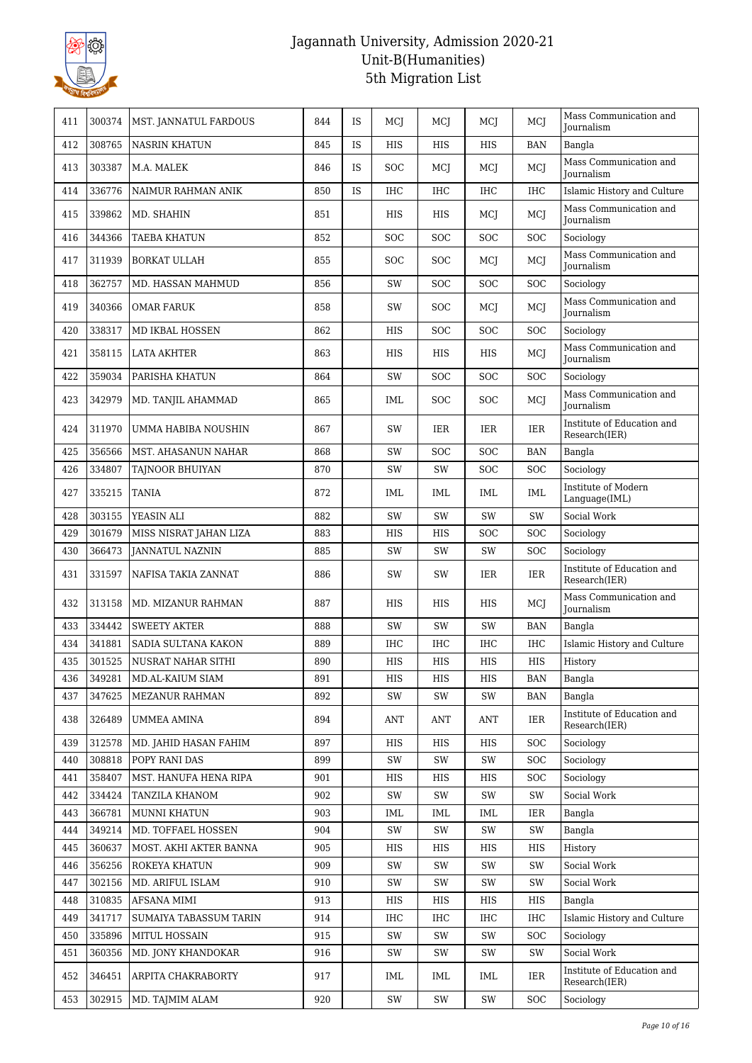

| 411 | 300374 | MST. JANNATUL FARDOUS     | 844 | <b>IS</b> | MCJ        | MCI        | MCJ        | MCJ        | Mass Communication and<br>Journalism        |
|-----|--------|---------------------------|-----|-----------|------------|------------|------------|------------|---------------------------------------------|
| 412 | 308765 | <b>NASRIN KHATUN</b>      | 845 | IS        | <b>HIS</b> | <b>HIS</b> | <b>HIS</b> | <b>BAN</b> | Bangla                                      |
| 413 | 303387 | M.A. MALEK                | 846 | IS        | <b>SOC</b> | MCI        | MCJ        | MCJ        | Mass Communication and<br><b>Iournalism</b> |
| 414 | 336776 | NAIMUR RAHMAN ANIK        | 850 | <b>IS</b> | <b>IHC</b> | IHC        | IHC        | <b>IHC</b> | Islamic History and Culture                 |
| 415 | 339862 | MD. SHAHIN                | 851 |           | <b>HIS</b> | HIS        | MCJ        | MCJ        | Mass Communication and<br><b>Journalism</b> |
| 416 | 344366 | TAEBA KHATUN              | 852 |           | <b>SOC</b> | SOC        | SOC        | <b>SOC</b> | Sociology                                   |
| 417 | 311939 | <b>BORKAT ULLAH</b>       | 855 |           | <b>SOC</b> | <b>SOC</b> | MCI        | MCJ        | Mass Communication and<br><b>Iournalism</b> |
| 418 | 362757 | MD. HASSAN MAHMUD         | 856 |           | SW         | <b>SOC</b> | SOC        | <b>SOC</b> | Sociology                                   |
| 419 | 340366 | <b>OMAR FARUK</b>         | 858 |           | SW         | <b>SOC</b> | MCJ        | MCJ        | Mass Communication and<br><b>Journalism</b> |
| 420 | 338317 | <b>MD IKBAL HOSSEN</b>    | 862 |           | HIS        | SOC        | SOC        | <b>SOC</b> | Sociology                                   |
| 421 | 358115 | <b>LATA AKHTER</b>        | 863 |           | HIS        | HIS        | HIS        | MCJ        | Mass Communication and<br>Journalism        |
| 422 | 359034 | PARISHA KHATUN            | 864 |           | SW         | SOC        | SOC        | <b>SOC</b> | Sociology                                   |
| 423 | 342979 | MD. TANJIL AHAMMAD        | 865 |           | IML        | <b>SOC</b> | <b>SOC</b> | MCJ        | Mass Communication and<br>Journalism        |
| 424 | 311970 | UMMA HABIBA NOUSHIN       | 867 |           | SW         | IER        | IER        | <b>IER</b> | Institute of Education and<br>Research(IER) |
| 425 | 356566 | MST. AHASANUN NAHAR       | 868 |           | SW         | SOC        | SOC        | <b>BAN</b> | Bangla                                      |
| 426 | 334807 | TAJNOOR BHUIYAN           | 870 |           | SW         | SW         | SOC        | <b>SOC</b> | Sociology                                   |
| 427 | 335215 | <b>TANIA</b>              | 872 |           | IML        | IML        | IML        | <b>IML</b> | Institute of Modern<br>Language(IML)        |
| 428 | 303155 | YEASIN ALI                | 882 |           | SW         | SW         | SW         | SW         | Social Work                                 |
| 429 | 301679 | MISS NISRAT JAHAN LIZA    | 883 |           | HIS        | HIS        | SOC        | <b>SOC</b> | Sociology                                   |
| 430 | 366473 | <b>JANNATUL NAZNIN</b>    | 885 |           | SW         | SW         | SW         | <b>SOC</b> | Sociology                                   |
| 431 | 331597 | NAFISA TAKIA ZANNAT       | 886 |           | SW         | SW         | IER        | <b>IER</b> | Institute of Education and<br>Research(IER) |
| 432 | 313158 | MD. MIZANUR RAHMAN        | 887 |           | HIS        | HIS        | HIS        | MCJ        | Mass Communication and<br><b>Iournalism</b> |
| 433 | 334442 | <b>SWEETY AKTER</b>       | 888 |           | SW         | SW         | SW         | <b>BAN</b> | Bangla                                      |
| 434 | 341881 | SADIA SULTANA KAKON       | 889 |           | <b>IHC</b> | <b>IHC</b> | <b>IHC</b> | <b>IHC</b> | Islamic History and Culture                 |
| 435 | 301525 | <b>NUSRAT NAHAR SITHI</b> | 890 |           | <b>HIS</b> | <b>HIS</b> | <b>HIS</b> | <b>HIS</b> | History                                     |
| 436 | 349281 | MD.AL-KAIUM SIAM          | 891 |           | HIS        | HIS        | HIS        | <b>BAN</b> | Bangla                                      |
| 437 | 347625 | <b>MEZANUR RAHMAN</b>     | 892 |           | SW         | SW         | SW         | <b>BAN</b> | Bangla                                      |
| 438 | 326489 | UMMEA AMINA               | 894 |           | ANT        | ANT        | ANT        | IER        | Institute of Education and<br>Research(IER) |
| 439 | 312578 | MD. JAHID HASAN FAHIM     | 897 |           | HIS        | HIS        | HIS        | <b>SOC</b> | Sociology                                   |
| 440 | 308818 | POPY RANI DAS             | 899 |           | SW         | SW         | SW         | <b>SOC</b> | Sociology                                   |
| 441 | 358407 | MST. HANUFA HENA RIPA     | 901 |           | HIS        | HIS        | HIS        | <b>SOC</b> | Sociology                                   |
| 442 | 334424 | <b>TANZILA KHANOM</b>     | 902 |           | SW         | SW         | SW         | SW         | Social Work                                 |
| 443 | 366781 | MUNNI KHATUN              | 903 |           | IML        | IML        | IML        | <b>IER</b> | Bangla                                      |
| 444 | 349214 | MD. TOFFAEL HOSSEN        | 904 |           | SW         | SW         | SW         | SW         | Bangla                                      |
| 445 | 360637 | MOST. AKHI AKTER BANNA    | 905 |           | HIS        | HIS        | HIS        | HIS        | History                                     |
| 446 | 356256 | ROKEYA KHATUN             | 909 |           | SW         | SW         | SW         | SW         | Social Work                                 |
| 447 | 302156 | MD. ARIFUL ISLAM          | 910 |           | SW         | SW         | SW         | SW         | Social Work                                 |
| 448 | 310835 | AFSANA MIMI               | 913 |           | HIS        | HIS        | HIS        | HIS        | Bangla                                      |
| 449 | 341717 | SUMAIYA TABASSUM TARIN    | 914 |           | IHC        | IHC        | IHC        | IHC        | Islamic History and Culture                 |
| 450 | 335896 | MITUL HOSSAIN             | 915 |           | SW         | SW         | SW         | <b>SOC</b> | Sociology                                   |
| 451 | 360356 | MD. JONY KHANDOKAR        | 916 |           | SW         | SW         | SW         | SW         | Social Work                                 |
| 452 | 346451 | ARPITA CHAKRABORTY        | 917 |           | IML        | IML        | IML        | IER        | Institute of Education and<br>Research(IER) |
| 453 | 302915 | MD. TAJMIM ALAM           | 920 |           | SW         | SW         | SW         | <b>SOC</b> | Sociology                                   |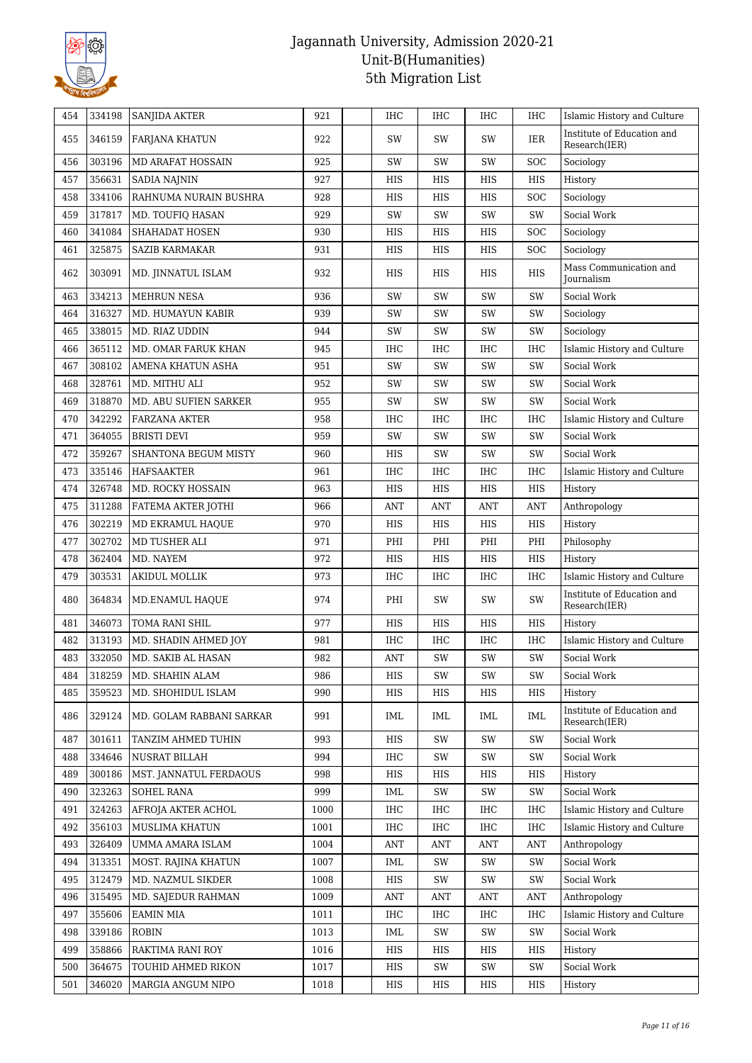

| 454 | 334198 | <b>SANJIDA AKTER</b>     | 921  | IHC        | <b>IHC</b>    | <b>IHC</b>         | <b>IHC</b>           | Islamic History and Culture                 |
|-----|--------|--------------------------|------|------------|---------------|--------------------|----------------------|---------------------------------------------|
| 455 | 346159 | <b>FARJANA KHATUN</b>    | 922  | SW         | SW            | SW                 | IER                  | Institute of Education and<br>Research(IER) |
| 456 | 303196 | MD ARAFAT HOSSAIN        | 925  | SW         | SW            | SW                 | <b>SOC</b>           | Sociology                                   |
| 457 | 356631 | <b>SADIA NAJNIN</b>      | 927  | HIS        | HIS           | HIS                | <b>HIS</b>           | History                                     |
| 458 | 334106 | RAHNUMA NURAIN BUSHRA    | 928  | HIS        | HIS           | HIS                | <b>SOC</b>           | Sociology                                   |
| 459 | 317817 | MD. TOUFIQ HASAN         | 929  | SW         | SW            | SW                 | SW                   | Social Work                                 |
| 460 | 341084 | SHAHADAT HOSEN           | 930  | HIS        | HIS           | HIS                | <b>SOC</b>           | Sociology                                   |
| 461 | 325875 | <b>SAZIB KARMAKAR</b>    | 931  | HIS        | HIS           | HIS                | $\operatorname{SOC}$ | Sociology                                   |
| 462 | 303091 | MD. JINNATUL ISLAM       | 932  | HIS        | HIS           | HIS                | HIS                  | Mass Communication and<br><b>Journalism</b> |
| 463 | 334213 | <b>MEHRUN NESA</b>       | 936  | SW         | SW            | SW                 | SW                   | Social Work                                 |
| 464 | 316327 | MD. HUMAYUN KABIR        | 939  | SW         | SW            | SW                 | SW                   | Sociology                                   |
| 465 | 338015 | MD. RIAZ UDDIN           | 944  | SW         | SW            | SW                 | SW                   | Sociology                                   |
| 466 | 365112 | MD. OMAR FARUK KHAN      | 945  | IHC        | <b>IHC</b>    | IHC                | <b>IHC</b>           | Islamic History and Culture                 |
| 467 | 308102 | AMENA KHATUN ASHA        | 951  | SW         | SW            | SW                 | SW                   | Social Work                                 |
| 468 | 328761 | MD. MITHU ALI            | 952  | SW         | SW            | SW                 | SW                   | Social Work                                 |
| 469 | 318870 | MD. ABU SUFIEN SARKER    | 955  | SW         | SW            | SW                 | SW                   | Social Work                                 |
| 470 | 342292 | <b>FARZANA AKTER</b>     | 958  | IHC        | <b>IHC</b>    | IHC                | <b>IHC</b>           | Islamic History and Culture                 |
| 471 | 364055 | <b>BRISTI DEVI</b>       | 959  | SW         | SW            | $\text{SW}\xspace$ | SW                   | Social Work                                 |
| 472 | 359267 | SHANTONA BEGUM MISTY     | 960  | HIS        | SW            | SW                 | SW                   | Social Work                                 |
| 473 | 335146 | HAFSAAKTER               | 961  | IHC        | <b>IHC</b>    | IHC                | <b>IHC</b>           | Islamic History and Culture                 |
| 474 | 326748 | MD. ROCKY HOSSAIN        | 963  | HIS        | HIS           | HIS                | <b>HIS</b>           | History                                     |
| 475 | 311288 | FATEMA AKTER JOTHI       | 966  | ANT        | <b>ANT</b>    | <b>ANT</b>         | <b>ANT</b>           | Anthropology                                |
| 476 | 302219 | MD EKRAMUL HAQUE         | 970  | HIS        | HIS           | HIS                | HIS                  | History                                     |
| 477 | 302702 | MD TUSHER ALI            | 971  | PHI        | PHI           | PHI                | PHI                  | Philosophy                                  |
| 478 | 362404 | MD. NAYEM                | 972  | HIS        | <b>HIS</b>    | HIS                | <b>HIS</b>           | History                                     |
| 479 | 303531 | <b>AKIDUL MOLLIK</b>     | 973  | IHC        | <b>IHC</b>    | IHC                | <b>IHC</b>           | Islamic History and Culture                 |
| 480 | 364834 | MD.ENAMUL HAQUE          | 974  | PHI        | SW            | SW                 | SW                   | Institute of Education and<br>Research(IER) |
| 481 | 346073 | TOMA RANI SHIL           | 977  | HIS        | HIS           | HIS                | HIS                  | History                                     |
| 482 | 313193 | MD. SHADIN AHMED JOY     | 981  | IHC        | IHC           | IHC                | IHC                  | Islamic History and Culture                 |
| 483 | 332050 | MD. SAKIB AL HASAN       | 982  | ANT        | SW            | SW                 | SW                   | Social Work                                 |
| 484 | 318259 | MD. SHAHIN ALAM          | 986  | HIS        | SW            | SW                 | SW                   | Social Work                                 |
| 485 | 359523 | MD. SHOHIDUL ISLAM       | 990  | HIS        | HIS           | HIS                | HIS                  | History                                     |
| 486 | 329124 | MD. GOLAM RABBANI SARKAR | 991  | IML        | IML           | IML                | IML                  | Institute of Education and<br>Research(IER) |
| 487 | 301611 | TANZIM AHMED TUHIN       | 993  | HIS        | $\mathrm{SW}$ | SW                 | SW                   | Social Work                                 |
| 488 | 334646 | NUSRAT BILLAH            | 994  | IHC        | SW            | SW                 | SW                   | Social Work                                 |
| 489 | 300186 | MST. JANNATUL FERDAOUS   | 998  | HIS        | HIS           | HIS                | HIS                  | History                                     |
| 490 | 323263 | <b>SOHEL RANA</b>        | 999  | IML        | SW            | SW                 | SW                   | Social Work                                 |
| 491 | 324263 | AFROJA AKTER ACHOL       | 1000 | IHC        | IHC           | IHC                | IHC                  | Islamic History and Culture                 |
| 492 | 356103 | MUSLIMA KHATUN           | 1001 | IHC        | IHC           | IHC                | IHC                  | Islamic History and Culture                 |
| 493 | 326409 | UMMA AMARA ISLAM         | 1004 | ANT        | ANT           | ANT                | <b>ANT</b>           | Anthropology                                |
| 494 | 313351 | MOST. RAJINA KHATUN      | 1007 | <b>IML</b> | SW            | SW                 | SW                   | Social Work                                 |
| 495 | 312479 | MD. NAZMUL SIKDER        | 1008 | HIS        | SW            | SW                 | SW                   | Social Work                                 |
| 496 | 315495 | MD. SAJEDUR RAHMAN       | 1009 | <b>ANT</b> | ANT           | <b>ANT</b>         | <b>ANT</b>           | Anthropology                                |
| 497 | 355606 | <b>EAMIN MIA</b>         | 1011 | IHC        | IHC           | IHC                | <b>IHC</b>           | Islamic History and Culture                 |
| 498 | 339186 | <b>ROBIN</b>             | 1013 | IML        | SW            | SW                 | SW                   | Social Work                                 |
| 499 | 358866 | RAKTIMA RANI ROY         | 1016 | HIS        | HIS           | HIS                | HIS                  | History                                     |
| 500 | 364675 | TOUHID AHMED RIKON       | 1017 | HIS        | $\mathrm{SW}$ | SW                 | SW                   | Social Work                                 |
| 501 | 346020 | MARGIA ANGUM NIPO        | 1018 | HIS        | HIS           | HIS                | HIS                  | History                                     |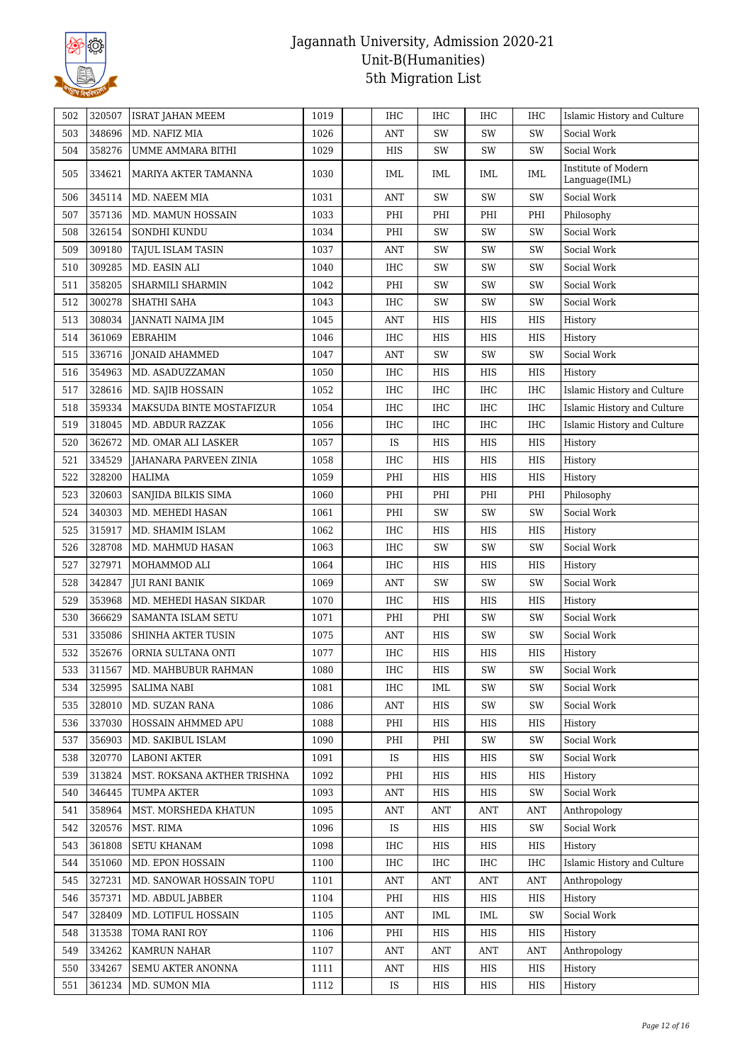

| 502 | 320507 | <b>ISRAT JAHAN MEEM</b>     | 1019 | <b>IHC</b> | <b>IHC</b> | IHC        | IHC        | Islamic History and Culture          |
|-----|--------|-----------------------------|------|------------|------------|------------|------------|--------------------------------------|
| 503 | 348696 | MD. NAFIZ MIA               | 1026 | <b>ANT</b> | SW         | SW         | SW         | Social Work                          |
| 504 | 358276 | UMME AMMARA BITHI           | 1029 | HIS        | SW         | SW         | SW         | Social Work                          |
| 505 | 334621 | MARIYA AKTER TAMANNA        | 1030 | IML        | IML        | IML        | IML        | Institute of Modern<br>Language(IML) |
| 506 | 345114 | MD. NAEEM MIA               | 1031 | <b>ANT</b> | SW         | SW         | SW         | Social Work                          |
| 507 | 357136 | MD. MAMUN HOSSAIN           | 1033 | PHI        | PHI        | PHI        | PHI        | Philosophy                           |
| 508 | 326154 | SONDHI KUNDU                | 1034 | PHI        | SW         | SW         | SW         | Social Work                          |
| 509 | 309180 | TAJUL ISLAM TASIN           | 1037 | ANT        | SW         | SW         | SW         | Social Work                          |
| 510 | 309285 | MD. EASIN ALI               | 1040 | <b>IHC</b> | SW         | SW         | SW         | Social Work                          |
| 511 | 358205 | SHARMILI SHARMIN            | 1042 | PHI        | SW         | SW         | SW         | Social Work                          |
| 512 | 300278 | SHATHI SAHA                 | 1043 | <b>IHC</b> | SW         | SW         | SW         | Social Work                          |
| 513 | 308034 | JANNATI NAIMA JIM           | 1045 | ANT        | HIS        | HIS        | HIS        | History                              |
| 514 | 361069 | EBRAHIM                     | 1046 | IHC        | HIS        | HIS        | HIS        | History                              |
| 515 | 336716 | <b>JONAID AHAMMED</b>       | 1047 | <b>ANT</b> | SW         | SW         | SW         | Social Work                          |
| 516 | 354963 | MD. ASADUZZAMAN             | 1050 | IHC        | HIS        | HIS        | HIS        | History                              |
| 517 | 328616 | MD. SAJIB HOSSAIN           | 1052 | <b>IHC</b> | IHC        | IHC        | <b>IHC</b> | Islamic History and Culture          |
| 518 | 359334 | MAKSUDA BINTE MOSTAFIZUR    | 1054 | <b>IHC</b> | IHC        | IHC        | <b>IHC</b> | Islamic History and Culture          |
| 519 | 318045 | MD. ABDUR RAZZAK            | 1056 | IHC        | IHC        | <b>IHC</b> | <b>IHC</b> | Islamic History and Culture          |
| 520 | 362672 | MD. OMAR ALI LASKER         | 1057 | IS         | HIS        | HIS        | HIS        | History                              |
| 521 | 334529 | JAHANARA PARVEEN ZINIA      | 1058 | <b>IHC</b> | HIS        | HIS        | <b>HIS</b> | History                              |
| 522 | 328200 | HALIMA                      | 1059 | PHI        | HIS        | HIS        | HIS        | History                              |
| 523 | 320603 | SANJIDA BILKIS SIMA         | 1060 | PHI        | PHI        | PHI        | PHI        | Philosophy                           |
| 524 | 340303 | MD. MEHEDI HASAN            | 1061 | PHI        | SW         | SW         | SW         | Social Work                          |
| 525 | 315917 | MD. SHAMIM ISLAM            | 1062 | <b>IHC</b> | HIS        | HIS        | HIS        | History                              |
| 526 | 328708 | MD. MAHMUD HASAN            | 1063 | <b>IHC</b> | SW         | SW         | SW         | Social Work                          |
| 527 | 327971 | MOHAMMOD ALI                | 1064 | <b>IHC</b> | HIS        | HIS        | HIS        | History                              |
| 528 | 342847 | JUI RANI BANIK              | 1069 | <b>ANT</b> | SW         | SW         | SW         | Social Work                          |
| 529 | 353968 | MD. MEHEDI HASAN SIKDAR     | 1070 | <b>IHC</b> | HIS        | HIS        | HIS        | History                              |
| 530 | 366629 | <b>SAMANTA ISLAM SETU</b>   | 1071 | PHI        | PHI        | SW         | SW         | Social Work                          |
| 531 | 335086 | SHINHA AKTER TUSIN          | 1075 | <b>ANT</b> | HIS        | SW         | SW         | Social Work                          |
| 532 | 352676 | ORNIA SULTANA ONTI          | 1077 | <b>IHC</b> | HIS        | HIS        | HIS        | History                              |
| 533 | 311567 | MD. MAHBUBUR RAHMAN         | 1080 | IHC        | HIS        | SW         | SW         | Social Work                          |
| 534 | 325995 | SALIMA NABI                 | 1081 | IHC        | IML        | SW         | SW         | Social Work                          |
| 535 | 328010 | MD. SUZAN RANA              | 1086 | ANT        | HIS        | SW         | SW         | Social Work                          |
| 536 | 337030 | HOSSAIN AHMMED APU          | 1088 | PHI        | HIS        | HIS        | HIS        | History                              |
| 537 | 356903 | MD. SAKIBUL ISLAM           | 1090 | PHI        | PHI        | SW         | SW         | Social Work                          |
| 538 | 320770 | <b>LABONI AKTER</b>         | 1091 | IS         | HIS        | HIS        | SW         | Social Work                          |
| 539 | 313824 | MST. ROKSANA AKTHER TRISHNA | 1092 | PHI        | HIS        | HIS        | HIS        | History                              |
| 540 | 346445 | TUMPA AKTER                 | 1093 | ANT        | HIS        | HIS        | SW         | Social Work                          |
| 541 | 358964 | MST. MORSHEDA KHATUN        | 1095 | ANT        | ANT        | ANT        | ANT        | Anthropology                         |
| 542 | 320576 | MST. RIMA                   | 1096 | IS         | HIS        | HIS        | SW         | Social Work                          |
| 543 | 361808 | <b>SETU KHANAM</b>          | 1098 | <b>IHC</b> | HIS        | HIS        | HIS        | History                              |
| 544 | 351060 | MD. EPON HOSSAIN            | 1100 | IHC        | IHC        | IHC        | IHC        | Islamic History and Culture          |
| 545 | 327231 | MD. SANOWAR HOSSAIN TOPU    | 1101 | ANT        | <b>ANT</b> | <b>ANT</b> | <b>ANT</b> | Anthropology                         |
| 546 | 357371 | MD. ABDUL JABBER            | 1104 | PHI        | HIS        | HIS        | HIS        | History                              |
| 547 | 328409 | MD. LOTIFUL HOSSAIN         | 1105 | <b>ANT</b> | IML        | IML        | SW         | Social Work                          |
| 548 | 313538 | TOMA RANI ROY               | 1106 | PHI        | HIS        | HIS        | HIS        | History                              |
| 549 | 334262 | KAMRUN NAHAR                | 1107 | ANT        | ANT        | ANT        | ANT        | Anthropology                         |
| 550 | 334267 | SEMU AKTER ANONNA           |      | <b>ANT</b> |            | HIS        | HIS        |                                      |
|     |        |                             | 1111 |            | HIS        |            |            | History                              |
| 551 | 361234 | MD. SUMON MIA               | 1112 | IS         | HIS        | HIS        | HIS        | History                              |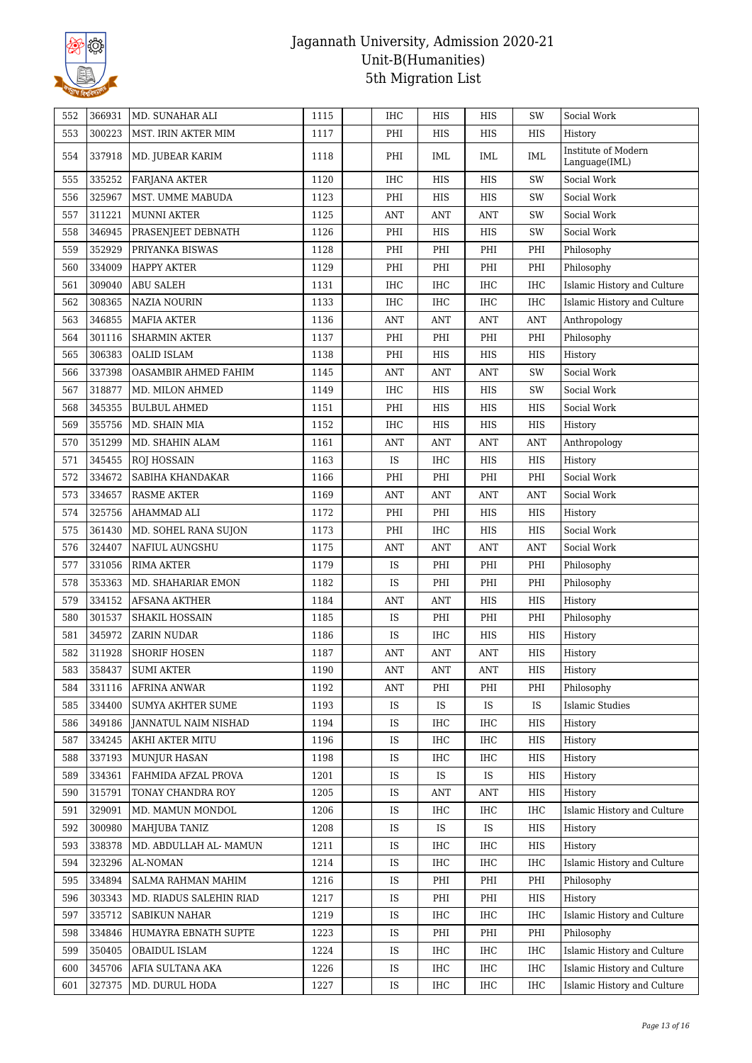

| 552 | 366931 | MD. SUNAHAR ALI          | 1115 | <b>IHC</b>     | HIS                  | HIS                 | SW             | Social Work                          |
|-----|--------|--------------------------|------|----------------|----------------------|---------------------|----------------|--------------------------------------|
| 553 | 300223 | MST. IRIN AKTER MIM      | 1117 | PHI            | HIS                  | HIS                 | HIS            | History                              |
| 554 | 337918 | MD. JUBEAR KARIM         | 1118 | PHI            | IML                  | <b>IML</b>          | IML            | Institute of Modern<br>Language(IML) |
| 555 | 335252 | <b>FARJANA AKTER</b>     | 1120 | <b>IHC</b>     | HIS                  | HIS                 | SW             | Social Work                          |
| 556 | 325967 | MST. UMME MABUDA         | 1123 | PHI            | HIS                  | HIS                 | SW             | Social Work                          |
| 557 | 311221 | <b>MUNNI AKTER</b>       | 1125 | <b>ANT</b>     | <b>ANT</b>           | <b>ANT</b>          | SW             | Social Work                          |
| 558 | 346945 | PRASENJEET DEBNATH       | 1126 | PHI            | HIS                  | HIS                 | SW             | Social Work                          |
| 559 | 352929 | PRIYANKA BISWAS          | 1128 | PHI            | PHI                  | PHI                 | PHI            | Philosophy                           |
| 560 | 334009 | <b>HAPPY AKTER</b>       | 1129 | PHI            | PHI                  | PHI                 | PHI            | Philosophy                           |
| 561 | 309040 | <b>ABU SALEH</b>         | 1131 | <b>IHC</b>     | <b>IHC</b>           | <b>IHC</b>          | <b>IHC</b>     | Islamic History and Culture          |
| 562 | 308365 | <b>NAZIA NOURIN</b>      | 1133 | <b>IHC</b>     | IHC                  | <b>IHC</b>          | IHC            | Islamic History and Culture          |
| 563 | 346855 | <b>MAFIA AKTER</b>       | 1136 | <b>ANT</b>     | <b>ANT</b>           | <b>ANT</b>          | $\mathbf{ANT}$ | Anthropology                         |
| 564 | 301116 | <b>SHARMIN AKTER</b>     | 1137 | PHI            | PHI                  | PHI                 | PHI            | Philosophy                           |
| 565 | 306383 | <b>OALID ISLAM</b>       | 1138 | PHI            | HIS                  | HIS                 | HIS            | History                              |
| 566 | 337398 | OASAMBIR AHMED FAHIM     | 1145 | <b>ANT</b>     | <b>ANT</b>           | <b>ANT</b>          | SW             | Social Work                          |
| 567 | 318877 | MD. MILON AHMED          | 1149 | <b>IHC</b>     | HIS                  | HIS                 | SW             | Social Work                          |
| 568 | 345355 | <b>BULBUL AHMED</b>      | 1151 | PHI            | HIS                  | HIS                 | HIS            | Social Work                          |
| 569 | 355756 | MD. SHAIN MIA            | 1152 | <b>IHC</b>     | HIS                  | HIS                 | HIS            | History                              |
| 570 | 351299 | MD. SHAHIN ALAM          | 1161 | <b>ANT</b>     | <b>ANT</b>           | <b>ANT</b>          | <b>ANT</b>     | Anthropology                         |
| 571 | 345455 | <b>ROJ HOSSAIN</b>       | 1163 | IS             | IHC                  | HIS                 | HIS            | History                              |
| 572 | 334672 | SABIHA KHANDAKAR         | 1166 | PHI            | PHI                  | PHI                 | PHI            | Social Work                          |
| 573 | 334657 | <b>RASME AKTER</b>       | 1169 | <b>ANT</b>     | <b>ANT</b>           | <b>ANT</b>          | <b>ANT</b>     | Social Work                          |
| 574 | 325756 | AHAMMAD ALI              | 1172 | PHI            | PHI                  | HIS                 | HIS            | History                              |
| 575 | 361430 | MD. SOHEL RANA SUJON     | 1173 | PHI            | IHC                  | HIS                 | HIS            | Social Work                          |
| 576 | 324407 | NAFIUL AUNGSHU           | 1175 | <b>ANT</b>     | <b>ANT</b>           | <b>ANT</b>          | <b>ANT</b>     | Social Work                          |
| 577 | 331056 | <b>RIMA AKTER</b>        | 1179 | <b>IS</b>      | PHI                  | PHI                 | PHI            | Philosophy                           |
| 578 | 353363 | MD. SHAHARIAR EMON       | 1182 | IS             | PHI                  | PHI                 | PHI            | Philosophy                           |
| 579 | 334152 | <b>AFSANA AKTHER</b>     | 1184 | ANT            | <b>ANT</b>           | HIS                 | HIS            | History                              |
| 580 | 301537 | SHAKIL HOSSAIN           | 1185 | IS             | PHI                  | PHI                 | PHI            | Philosophy                           |
| 581 | 345972 | <b>ZARIN NUDAR</b>       | 1186 | IS             | IHC                  | HIS                 | HIS            | History                              |
| 582 | 311928 | <b>SHORIF HOSEN</b>      | 1187 | <b>ANT</b>     | <b>ANT</b>           | <b>ANT</b>          | HIS            | History                              |
| 583 | 358437 | <b>SUMI AKTER</b>        | 1190 | $\mathbf{ANT}$ | $\operatorname{ANT}$ | $\mathbf{ANT}$      | $_{\rm HIS}$   | History                              |
| 584 | 331116 | AFRINA ANWAR             | 1192 | ANT            | PHI                  | PHI                 | PHI            | Philosophy                           |
| 585 | 334400 | <b>SUMYA AKHTER SUME</b> | 1193 | IS             | IS                   | IS                  | IS             | <b>Islamic Studies</b>               |
| 586 | 349186 | JANNATUL NAIM NISHAD     | 1194 | IS             | IHC                  | IHC                 | HIS            | History                              |
| 587 | 334245 | AKHI AKTER MITU          | 1196 | IS             | IHC                  | <b>IHC</b>          | HIS            | History                              |
| 588 | 337193 | <b>MUNJUR HASAN</b>      | 1198 | IS             | IHC                  | IHC                 | HIS            | History                              |
| 589 | 334361 | FAHMIDA AFZAL PROVA      | 1201 | IS             | IS                   | $\operatorname{IS}$ | HIS            | History                              |
| 590 | 315791 | TONAY CHANDRA ROY        | 1205 | IS             | ANT                  | ANT                 | HIS            | History                              |
| 591 | 329091 | MD. MAMUN MONDOL         | 1206 | IS             | IHC                  | <b>IHC</b>          | IHC            | Islamic History and Culture          |
| 592 | 300980 | MAHJUBA TANIZ            | 1208 | IS             | IS                   | IS                  | HIS            | History                              |
| 593 | 338378 | MD. ABDULLAH AL- MAMUN   | 1211 | IS             | IHC                  | <b>IHC</b>          | HIS            | History                              |
| 594 | 323296 | AL-NOMAN                 | 1214 | IS             | IHC                  | IHC                 | IHC            | Islamic History and Culture          |
| 595 | 334894 | SALMA RAHMAN MAHIM       | 1216 | IS             | PHI                  | PHI                 | PHI            | Philosophy                           |
| 596 | 303343 | MD. RIADUS SALEHIN RIAD  | 1217 | IS             | PHI                  | PHI                 | HIS            | History                              |
| 597 | 335712 | SABIKUN NAHAR            | 1219 | IS             | IHC                  | <b>IHC</b>          | IHC            | Islamic History and Culture          |
| 598 | 334846 | HUMAYRA EBNATH SUPTE     | 1223 | IS             | PHI                  | PHI                 | PHI            | Philosophy                           |
| 599 | 350405 | OBAIDUL ISLAM            | 1224 | IS             | IHC                  | IHC                 | <b>IHC</b>     | Islamic History and Culture          |
| 600 | 345706 | AFIA SULTANA AKA         | 1226 | IS             | IHC                  | IHC                 | IHC            | Islamic History and Culture          |
| 601 | 327375 | MD. DURUL HODA           | 1227 | IS             | IHC                  | <b>IHC</b>          | IHC            | Islamic History and Culture          |
|     |        |                          |      |                |                      |                     |                |                                      |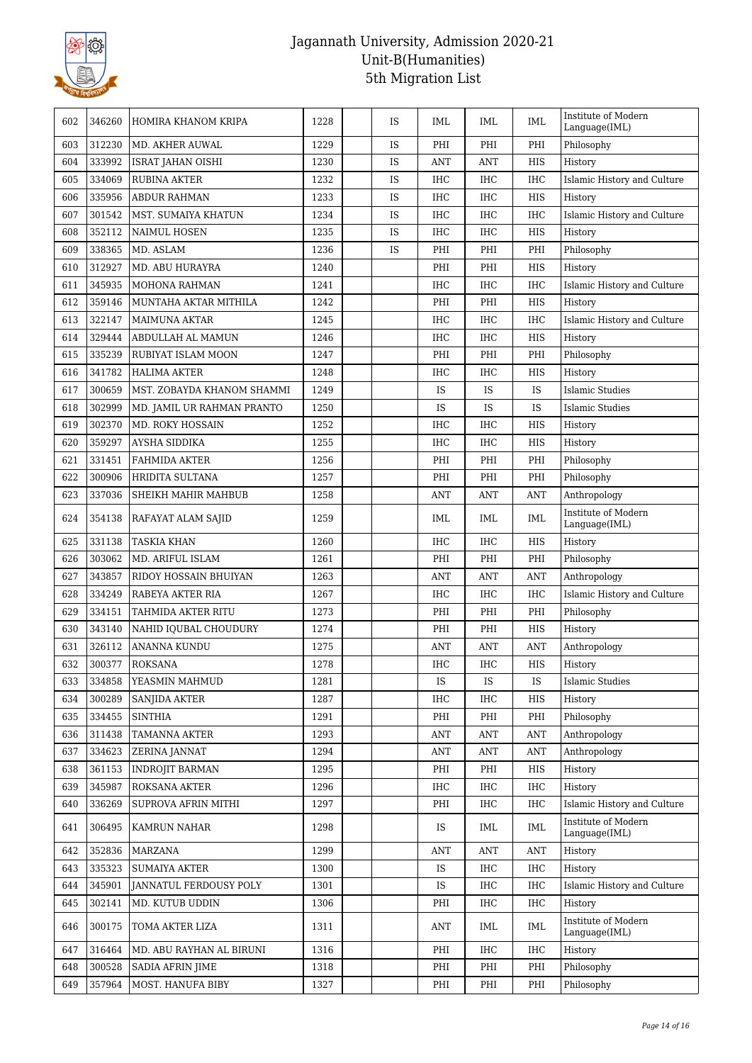

| 602 | 346260 | HOMIRA KHANOM KRIPA        | 1228 | IS | IML            | IML        | IML        | Institute of Modern<br>Language(IML) |
|-----|--------|----------------------------|------|----|----------------|------------|------------|--------------------------------------|
| 603 | 312230 | MD. AKHER AUWAL            | 1229 | IS | PHI            | PHI        | PHI        | Philosophy                           |
| 604 | 333992 | <b>ISRAT JAHAN OISHI</b>   | 1230 | IS | ANT            | ANT        | <b>HIS</b> | History                              |
| 605 | 334069 | <b>RUBINA AKTER</b>        | 1232 | IS | <b>IHC</b>     | IHC        | <b>IHC</b> | Islamic History and Culture          |
| 606 | 335956 | <b>ABDUR RAHMAN</b>        | 1233 | IS | <b>IHC</b>     | <b>IHC</b> | HIS        | History                              |
| 607 | 301542 | MST. SUMAIYA KHATUN        | 1234 | IS | <b>IHC</b>     | IHC        | <b>IHC</b> | Islamic History and Culture          |
| 608 | 352112 | <b>NAIMUL HOSEN</b>        | 1235 | IS | <b>IHC</b>     | <b>IHC</b> | <b>HIS</b> | History                              |
| 609 | 338365 | MD. ASLAM                  | 1236 | IS | PHI            | PHI        | PHI        | Philosophy                           |
| 610 | 312927 | MD. ABU HURAYRA            | 1240 |    | PHI            | PHI        | HIS        | History                              |
| 611 | 345935 | <b>MOHONA RAHMAN</b>       | 1241 |    | <b>IHC</b>     | <b>IHC</b> | <b>IHC</b> | Islamic History and Culture          |
| 612 | 359146 | MUNTAHA AKTAR MITHILA      | 1242 |    | PHI            | PHI        | HIS        | History                              |
| 613 | 322147 | <b>MAIMUNA AKTAR</b>       | 1245 |    | <b>IHC</b>     | IHC        | <b>IHC</b> | Islamic History and Culture          |
| 614 | 329444 | ABDULLAH AL MAMUN          | 1246 |    | <b>IHC</b>     | <b>IHC</b> | <b>HIS</b> | History                              |
| 615 | 335239 | RUBIYAT ISLAM MOON         | 1247 |    | PHI            | PHI        | PHI        | Philosophy                           |
| 616 | 341782 | <b>HALIMA AKTER</b>        | 1248 |    | <b>IHC</b>     | <b>IHC</b> | HIS        | History                              |
| 617 | 300659 | MST. ZOBAYDA KHANOM SHAMMI | 1249 |    | IS             | IS         | IS         | <b>Islamic Studies</b>               |
| 618 | 302999 | MD. JAMIL UR RAHMAN PRANTO | 1250 |    | IS             | IS         | IS         | <b>Islamic Studies</b>               |
| 619 | 302370 | <b>MD. ROKY HOSSAIN</b>    | 1252 |    | <b>IHC</b>     | IHC        | HIS        | History                              |
| 620 | 359297 | <b>AYSHA SIDDIKA</b>       | 1255 |    | <b>IHC</b>     | <b>IHC</b> | HIS        | History                              |
| 621 | 331451 | <b>FAHMIDA AKTER</b>       | 1256 |    | PHI            | PHI        | PHI        | Philosophy                           |
| 622 | 300906 | HRIDITA SULTANA            | 1257 |    | PHI            | PHI        | PHI        | Philosophy                           |
| 623 | 337036 | SHEIKH MAHIR MAHBUB        | 1258 |    | $\mathbf{ANT}$ | ANT        | <b>ANT</b> | Anthropology                         |
| 624 | 354138 | RAFAYAT ALAM SAJID         | 1259 |    | IML            | IML        | IML        | Institute of Modern<br>Language(IML) |
| 625 | 331138 | <b>TASKIA KHAN</b>         | 1260 |    | <b>IHC</b>     | <b>IHC</b> | <b>HIS</b> | History                              |
| 626 | 303062 | MD. ARIFUL ISLAM           | 1261 |    | PHI            | PHI        | PHI        | Philosophy                           |
| 627 | 343857 | RIDOY HOSSAIN BHUIYAN      | 1263 |    | ANT            | <b>ANT</b> | <b>ANT</b> | Anthropology                         |
| 628 | 334249 | RABEYA AKTER RIA           | 1267 |    | <b>IHC</b>     | IHC        | <b>IHC</b> | Islamic History and Culture          |
| 629 | 334151 | TAHMIDA AKTER RITU         | 1273 |    | PHI            | PHI        | PHI        | Philosophy                           |
| 630 | 343140 | NAHID IQUBAL CHOUDURY      | 1274 |    | PHI            | PHI        | HIS        | History                              |
| 631 | 326112 | <b>ANANNA KUNDU</b>        | 1275 |    | <b>ANT</b>     | <b>ANT</b> | <b>ANT</b> | Anthropology                         |
| 632 | 300377 | <b>ROKSANA</b>             | 1278 |    | <b>IHC</b>     | IHC        | <b>HIS</b> | History                              |
| 633 | 334858 | YEASMIN MAHMUD             | 1281 |    | IS             | IS         | IS         | <b>Islamic Studies</b>               |
| 634 | 300289 | SANJIDA AKTER              | 1287 |    | IHC            | <b>IHC</b> | HIS        | History                              |
| 635 | 334455 | <b>SINTHIA</b>             | 1291 |    | PHI            | PHI        | PHI        | Philosophy                           |
| 636 | 311438 | <b>TAMANNA AKTER</b>       | 1293 |    | ANT            | <b>ANT</b> | <b>ANT</b> | Anthropology                         |
| 637 | 334623 | ZERINA JANNAT              | 1294 |    | <b>ANT</b>     | <b>ANT</b> | <b>ANT</b> | Anthropology                         |
| 638 | 361153 | <b>INDROJIT BARMAN</b>     | 1295 |    | PHI            | PHI        | HIS        | History                              |
| 639 | 345987 | ROKSANA AKTER              | 1296 |    | IHC            | IHC        | IHC        | History                              |
| 640 | 336269 | SUPROVA AFRIN MITHI        | 1297 |    | PHI            | <b>IHC</b> | <b>IHC</b> | Islamic History and Culture          |
| 641 | 306495 | KAMRUN NAHAR               | 1298 |    | IS             | IML        | IML        | Institute of Modern<br>Language(IML) |
| 642 | 352836 | MARZANA                    | 1299 |    | ANT            | <b>ANT</b> | ANT        | History                              |
| 643 | 335323 | <b>SUMAIYA AKTER</b>       | 1300 |    | IS             | IHC        | <b>IHC</b> | History                              |
| 644 | 345901 | JANNATUL FERDOUSY POLY     | 1301 |    | IS             | IHC        | IHC        | Islamic History and Culture          |
| 645 | 302141 | MD. KUTUB UDDIN            | 1306 |    | PHI            | <b>IHC</b> | <b>IHC</b> | History                              |
| 646 | 300175 | TOMA AKTER LIZA            | 1311 |    | ANT            | IML        | IML        | Institute of Modern<br>Language(IML) |
| 647 | 316464 | MD. ABU RAYHAN AL BIRUNI   | 1316 |    | PHI            | IHC        | IHC        | History                              |
| 648 | 300528 | <b>SADIA AFRIN JIME</b>    | 1318 |    | PHI            | PHI        | PHI        | Philosophy                           |
| 649 | 357964 | MOST. HANUFA BIBY          | 1327 |    | PHI            | PHI        | PHI        | Philosophy                           |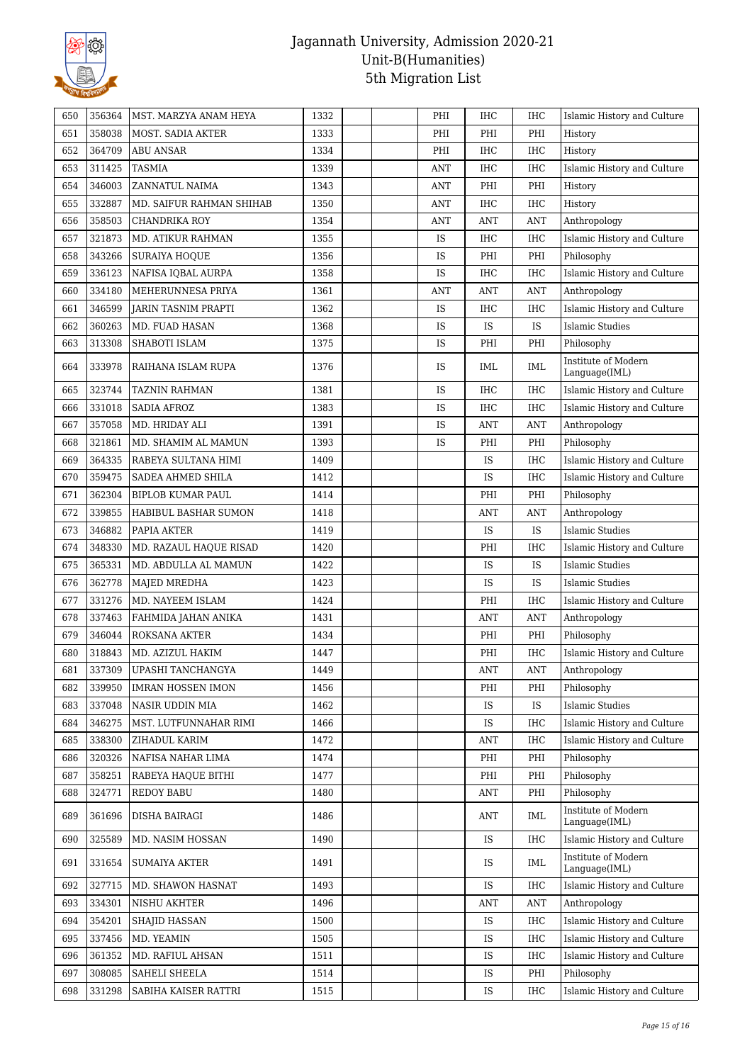

| 650 | 356364 | MST. MARZYA ANAM HEYA    | 1332 | PHI        | IHC        | <b>IHC</b> | Islamic History and Culture          |
|-----|--------|--------------------------|------|------------|------------|------------|--------------------------------------|
| 651 | 358038 | MOST. SADIA AKTER        | 1333 | PHI        | PHI        | PHI        | History                              |
| 652 | 364709 | ABU ANSAR                | 1334 | PHI        | <b>IHC</b> | <b>IHC</b> | History                              |
| 653 | 311425 | TASMIA                   | 1339 | ANT        | <b>IHC</b> | <b>IHC</b> | Islamic History and Culture          |
| 654 | 346003 | ZANNATUL NAIMA           | 1343 | <b>ANT</b> | PHI        | PHI        | History                              |
| 655 | 332887 | MD. SAIFUR RAHMAN SHIHAB | 1350 | <b>ANT</b> | <b>IHC</b> | <b>IHC</b> | History                              |
| 656 | 358503 | CHANDRIKA ROY            | 1354 | <b>ANT</b> | <b>ANT</b> | <b>ANT</b> | Anthropology                         |
| 657 | 321873 | MD. ATIKUR RAHMAN        | 1355 | IS         | IHC        | <b>IHC</b> | Islamic History and Culture          |
| 658 | 343266 | <b>SURAIYA HOOUE</b>     | 1356 | IS         | PHI        | PHI        | Philosophy                           |
| 659 | 336123 | NAFISA IQBAL AURPA       | 1358 | IS         | IHC        | <b>IHC</b> | Islamic History and Culture          |
| 660 | 334180 | MEHERUNNESA PRIYA        | 1361 | ANT        | <b>ANT</b> | <b>ANT</b> | Anthropology                         |
| 661 | 346599 | JARIN TASNIM PRAPTI      | 1362 | IS         | <b>IHC</b> | <b>IHC</b> | Islamic History and Culture          |
| 662 | 360263 | MD. FUAD HASAN           | 1368 | IS         | IS         | IS         | Islamic Studies                      |
| 663 | 313308 | SHABOTI ISLAM            | 1375 | IS         | PHI        | PHI        | Philosophy                           |
| 664 | 333978 | RAIHANA ISLAM RUPA       | 1376 | IS         | IML        | IML        | Institute of Modern<br>Language(IML) |
| 665 | 323744 | <b>TAZNIN RAHMAN</b>     | 1381 | IS         | <b>IHC</b> | <b>IHC</b> | Islamic History and Culture          |
| 666 | 331018 | <b>SADIA AFROZ</b>       | 1383 | IS         | <b>IHC</b> | <b>IHC</b> | Islamic History and Culture          |
| 667 | 357058 | MD. HRIDAY ALI           | 1391 | IS         | ANT        | ANT        | Anthropology                         |
| 668 | 321861 | MD. SHAMIM AL MAMUN      | 1393 | IS         | PHI        | PHI        | Philosophy                           |
| 669 | 364335 | RABEYA SULTANA HIMI      | 1409 |            | <b>IS</b>  | <b>IHC</b> | Islamic History and Culture          |
| 670 | 359475 | SADEA AHMED SHILA        | 1412 |            | IS         | <b>IHC</b> | Islamic History and Culture          |
| 671 | 362304 | BIPLOB KUMAR PAUL        | 1414 |            | PHI        | PHI        | Philosophy                           |
| 672 | 339855 | HABIBUL BASHAR SUMON     | 1418 |            | ANT        | <b>ANT</b> | Anthropology                         |
| 673 | 346882 | PAPIA AKTER              | 1419 |            | IS         | IS         | Islamic Studies                      |
| 674 | 348330 | MD. RAZAUL HAQUE RISAD   | 1420 |            | PHI        | <b>IHC</b> | Islamic History and Culture          |
| 675 | 365331 | MD. ABDULLA AL MAMUN     | 1422 |            | IS         | IS         | <b>Islamic Studies</b>               |
| 676 | 362778 | MAJED MREDHA             | 1423 |            | IS         | IS         | Islamic Studies                      |
| 677 | 331276 | MD. NAYEEM ISLAM         | 1424 |            | PHI        | <b>IHC</b> | Islamic History and Culture          |
| 678 | 337463 | FAHMIDA JAHAN ANIKA      | 1431 |            | <b>ANT</b> | <b>ANT</b> | Anthropology                         |
| 679 | 346044 | ROKSANA AKTER            | 1434 |            | PHI        | PHI        | Philosophy                           |
| 680 | 318843 | MD. AZIZUL HAKIM         | 1447 |            | PHI        | <b>IHC</b> | Islamic History and Culture          |
| 681 | 337309 | UPASHI TANCHANGYA        | 1449 |            | ANT        | ANT        | Anthropology                         |
| 682 | 339950 | <b>IMRAN HOSSEN IMON</b> | 1456 |            | PHI        | PHI        | Philosophy                           |
| 683 | 337048 | NASIR UDDIN MIA          | 1462 |            | IS         | IS         | <b>Islamic Studies</b>               |
| 684 | 346275 | MST. LUTFUNNAHAR RIMI    | 1466 |            | IS         | IHC        | Islamic History and Culture          |
| 685 | 338300 | ZIHADUL KARIM            | 1472 |            | <b>ANT</b> | <b>IHC</b> | Islamic History and Culture          |
| 686 | 320326 | NAFISA NAHAR LIMA        | 1474 |            | PHI        | PHI        | Philosophy                           |
| 687 | 358251 | RABEYA HAQUE BITHI       | 1477 |            | PHI        | PHI        | Philosophy                           |
| 688 | 324771 | <b>REDOY BABU</b>        | 1480 |            | ANT        | PHI        | Philosophy                           |
| 689 | 361696 | DISHA BAIRAGI            | 1486 |            | ANT        | IML        | Institute of Modern<br>Language(IML) |
| 690 | 325589 | MD. NASIM HOSSAN         | 1490 |            | <b>IS</b>  | <b>IHC</b> | Islamic History and Culture          |
| 691 | 331654 | <b>SUMAIYA AKTER</b>     | 1491 |            | IS         | <b>IML</b> | Institute of Modern<br>Language(IML) |
| 692 | 327715 | MD. SHAWON HASNAT        | 1493 |            | <b>IS</b>  | <b>IHC</b> | Islamic History and Culture          |
| 693 | 334301 | NISHU AKHTER             | 1496 |            | ANT        | <b>ANT</b> | Anthropology                         |
| 694 | 354201 | SHAJID HASSAN            | 1500 |            | IS         | IHC        | Islamic History and Culture          |
| 695 | 337456 | MD. YEAMIN               | 1505 |            | IS         | IHC        | Islamic History and Culture          |
| 696 | 361352 | MD. RAFIUL AHSAN         | 1511 |            | IS         | IHC        | Islamic History and Culture          |
| 697 | 308085 | SAHELI SHEELA            | 1514 |            | IS         | PHI        | Philosophy                           |
| 698 | 331298 | SABIHA KAISER RATTRI     | 1515 |            | IS         | IHC        | Islamic History and Culture          |